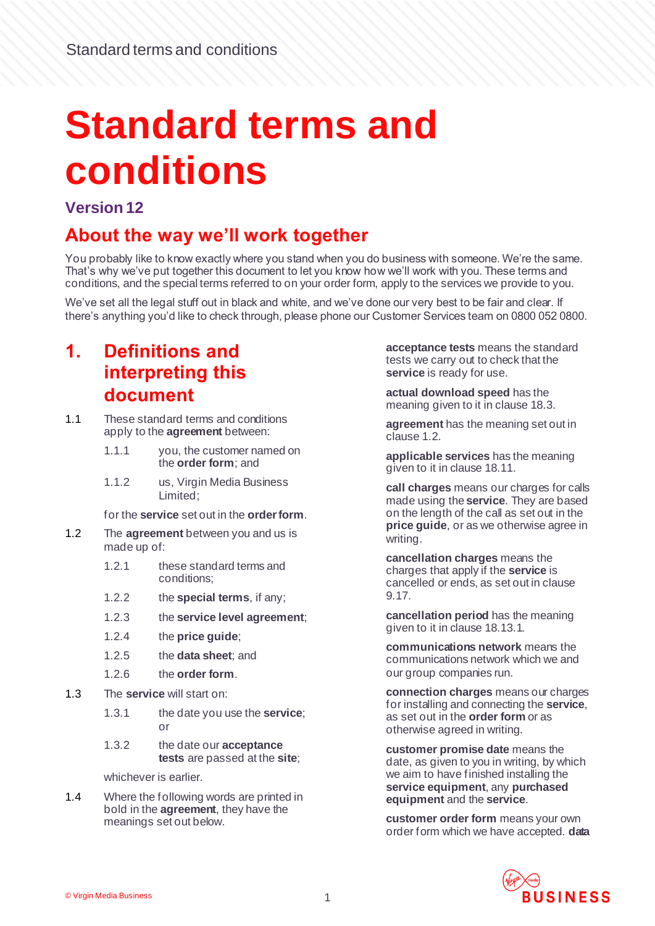# **Standard terms and conditions**

#### **Version 12**

#### **About the way we'll work together**

You probably like to know exactly where you stand when you do business with someone. We're the same. That's why we've put together this document to let you know how we'll work with you. These terms and conditions, and the special terms referred to on your order form, apply to the services we provide to you.

We've set all the legal stuff out in black and white, and we've done our very best to be fair and clear. If there's anything you'd like to check through, please phone our Customer Services team on 0800 052 0800.

#### **1. Definitions and interpreting this document**

- 1.1 These standard terms and conditions apply to the **agreement** between:
	- 1.1.1 you, the customer named on the **order form**; and
	- 1.1.2 us, Virgin Media Business Limited;

for the **service** set out in the **order form**.

- <span id="page-0-0"></span>1.2 The **agreement** between you and us is made up of:
	- 1.2.1 these standard terms and conditions;
	- 1.2.2 the **special terms**, if any;
	- 1.2.3 the **service level agreement**;
	- 1.2.4 the **price guide**;
	- 1.2.5 the **data sheet**; and
	- 1.2.6 the **order form**.
- <span id="page-0-1"></span>1.3 The **service** will start on:
	- 1.3.1 the date you use the **service**; or
	- 1.3.2 the date our **acceptance tests** are passed at the **site**;

whichever is earlier.

1.4 Where the following words are printed in bold in the **agreement**, they have the meanings set out below.

**acceptance tests** means the standard tests we carry out to check that the **service** is ready for use.

**actual download speed** has the meaning given to it in claus[e 18.3](#page-17-0).

**agreement** has the meaning set out in claus[e 1.2.](#page-0-0)

**applicable services** has the meaning given to it in claus[e 18.11](#page-18-0).

**call charges** means our charges for calls made using the **service**. They are based on the length of the call as set out in the **price guide**, or as we otherwise agree in writing.

**cancellation charges** means the charges that apply if the **service** is cancelled or ends, as set out in clause [9.17.](#page-9-0)

**cancellation period** has the meaning given to it in claus[e 18.13.1](#page-18-1).

**communications network** means the communications network which we and our group companies run.

**connection charges** means our charges for installing and connecting the **service**, as set out in the **order form** or as otherwise agreed in writing.

**customer promise date** means the date, as given to you in writing, by which we aim to have finished installing the **service equipment**, any **purchased equipment** and the **service**.

**customer order form** means your own order form which we have accepted. **data** 

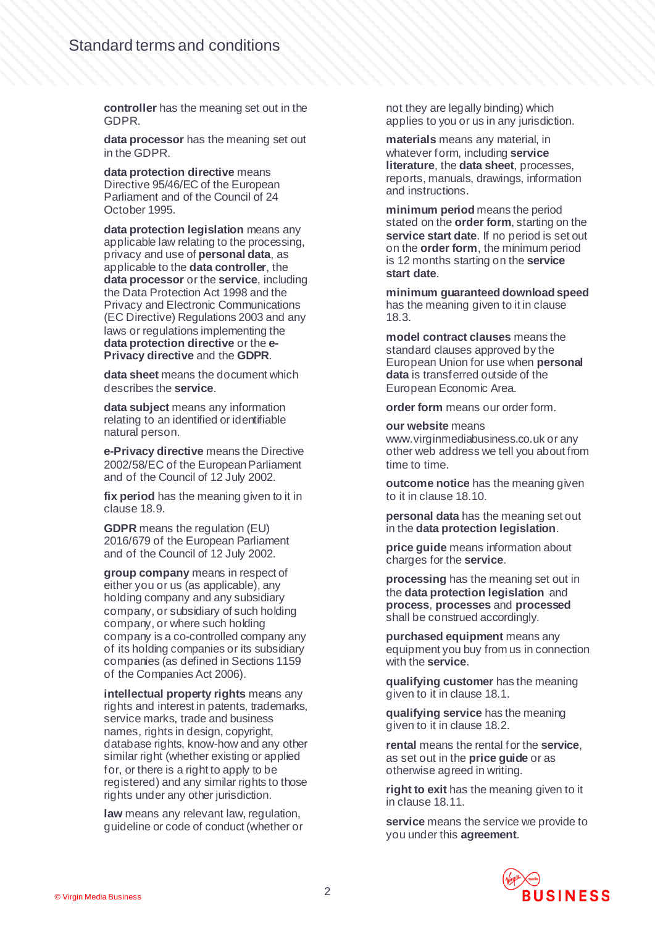**controller** has the meaning set out in the GDPR.

**data processor** has the meaning set out in the GDPR.

**data protection directive** means Directive 95/46/EC of the European Parliament and of the Council of 24 October 1995.

**data protection legislation** means any applicable law relating to the processing, privacy and use of **personal data**, as applicable to the **data controller**, the **data processor** or the **service**, including the Data Protection Act 1998 and the Privacy and Electronic Communications (EC Directive) Regulations 2003 and any laws or regulations implementing the **data protection directive** or the **e-Privacy directive** and the **GDPR**.

**data sheet** means the document which describes the **service**.

**data subject** means any information relating to an identified or identifiable natural person.

**e-Privacy directive** means the Directive 2002/58/EC of the European Parliament and of the Council of 12 July 2002.

**fix period** has the meaning given to it in claus[e 18.9.](#page-18-2)

**GDPR** means the regulation (EU) 2016/679 of the European Parliament and of the Council of 12 July 2002.

**group company** means in respect of either you or us (as applicable), any holding company and any subsidiary company, or subsidiary of such holding company, or where such holding company is a co-controlled company any of its holding companies or its subsidiary companies (as defined in Sections 1159 of the Companies Act 2006).

**intellectual property rights** means any rights and interest in patents, trademarks, service marks, trade and business names, rights in design, copyright, database rights, know-how and any other similar right (whether existing or applied for, or there is a right to apply to be registered) and any similar rights to those rights under any other jurisdiction.

**law** means any relevant law, regulation, guideline or code of conduct (whether or not they are legally binding) which applies to you or us in any jurisdiction.

**materials** means any material, in whatever form, including **service literature**, the **data sheet**, processes, reports, manuals, drawings, information and instructions.

**minimum period** means the period stated on the **order form**, starting on the **service start date**. If no period is set out on the **order form**, the minimum period is 12 months starting on the **service start date**.

**minimum guaranteed download speed**  has the meaning given to it in clause [18.3.](#page-17-0)

**model contract clauses** means the standard clauses approved by the European Union for use when **personal data** is transferred outside of the European Economic Area.

**order form** means our order form.

#### **our website** means

www.virginmediabusiness.co.uk or any other web address we tell you about from time to time.

**outcome notice** has the meaning given to it in claus[e 18.10](#page-18-3).

**personal data** has the meaning set out in the **data protection legislation**.

**price guide** means information about charges for the **service**.

**processing** has the meaning set out in the **data protection legislation** and **process**, **processes** and **processed** shall be construed accordingly.

**purchased equipment** means any equipment you buy from us in connection with the **service**.

**qualifying customer** has the meaning given to it in claus[e 18.1](#page-17-1).

**qualifying service** has the meaning given to it in claus[e 18.2](#page-17-2).

**rental** means the rental for the **service**, as set out in the **price guide** or as otherwise agreed in writing.

**right to exit** has the meaning given to it in claus[e 18.11.](#page-18-0)

**service** means the service we provide to you under this **agreement**.

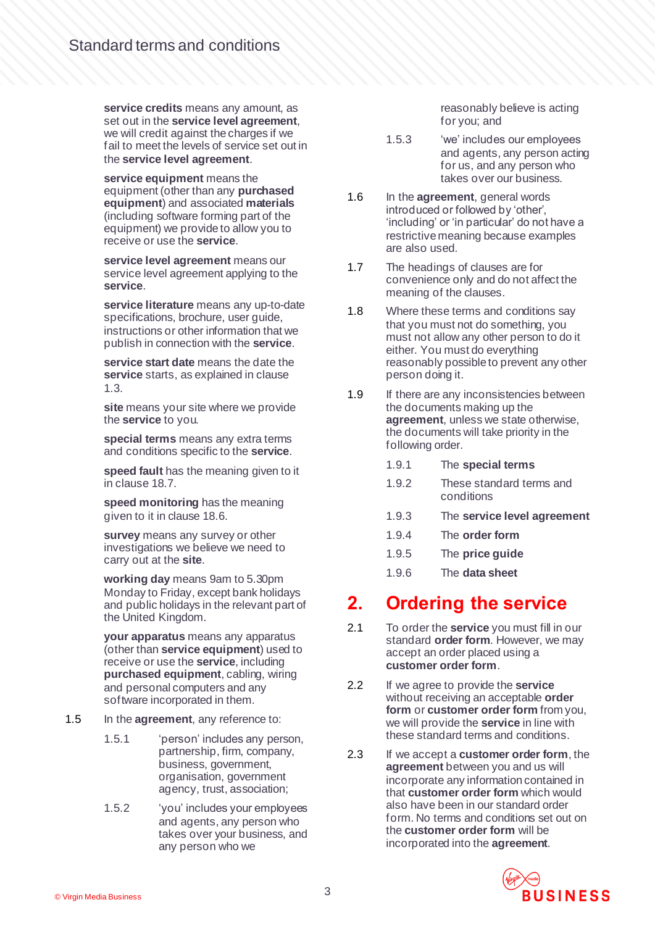**service credits** means any amount, as set out in the **service level agreement**, we will credit against the charges if we fail to meet the levels of service set out in the **service level agreement**.

**service equipment** means the equipment (other than any **purchased equipment**) and associated **materials** (including software forming part of the equipment) we provide to allow you to receive or use the **service**.

**service level agreement** means our service level agreement applying to the **service**.

**service literature** means any up-to-date specifications, brochure, user guide, instructions or other information that we publish in connection with the **service**.

**service start date** means the date the **service** starts, as explained in clause [1.3.](#page-0-1)

**site** means your site where we provide the **service** to you.

**special terms** means any extra terms and conditions specific to the **service**.

**speed fault** has the meaning given to it in claus[e 18.7.](#page-18-4)

**speed monitoring** has the meaning given to it in claus[e 18.6.](#page-17-3)

**survey** means any survey or other investigations we believe we need to carry out at the **site**.

**working day** means 9am to 5.30pm Monday to Friday, except bank holidays and public holidays in the relevant part of the United Kingdom.

**your apparatus** means any apparatus (other than **service equipment**) used to receive or use the **service**, including **purchased equipment**, cabling, wiring and personal computers and any software incorporated in them.

- 1.5 In the **agreement**, any reference to:
	- 1.5.1 'person' includes any person, partnership, firm, company, business, government, organisation, government agency, trust, association;
	- 1.5.2 'you' includes your employees and agents, any person who takes over your business, and any person who we

reasonably believe is acting for you; and

- 1.5.3 'we' includes our employees and agents, any person acting for us, and any person who takes over our business.
- 1.6 In the **agreement**, general words introduced or followed by 'other', 'including' or 'in particular' do not have a restrictive meaning because examples are also used.
- 1.7 The headings of clauses are for convenience only and do not affect the meaning of the clauses.
- 1.8 Where these terms and conditions say that you must not do something, you must not allow any other person to do it either. You must do everything reasonably possible to prevent any other person doing it.
- 1.9 If there are any inconsistencies between the documents making up the **agreement**, unless we state otherwise, the documents will take priority in the following order.
	- 1.9.1 The **special terms**
	- 1.9.2 These standard terms and conditions
	- 1.9.3 The **service level agreement**
	- 1.9.4 The **order form**
	- 1.9.5 The **price guide**
	- 1.9.6 The **data sheet**

#### **2. Ordering the service**

- 2.1 To order the **service** you must fill in our standard **order form**. However, we may accept an order placed using a **customer order form**.
- 2.2 If we agree to provide the **service** without receiving an acceptable **order form** or **customer order form** from you, we will provide the **service** in line with these standard terms and conditions.
- 2.3 If we accept a **customer order form**, the **agreement** between you and us will incorporate any information contained in that **customer order form** which would also have been in our standard order form. No terms and conditions set out on the **customer order form** will be incorporated into the **agreement**.

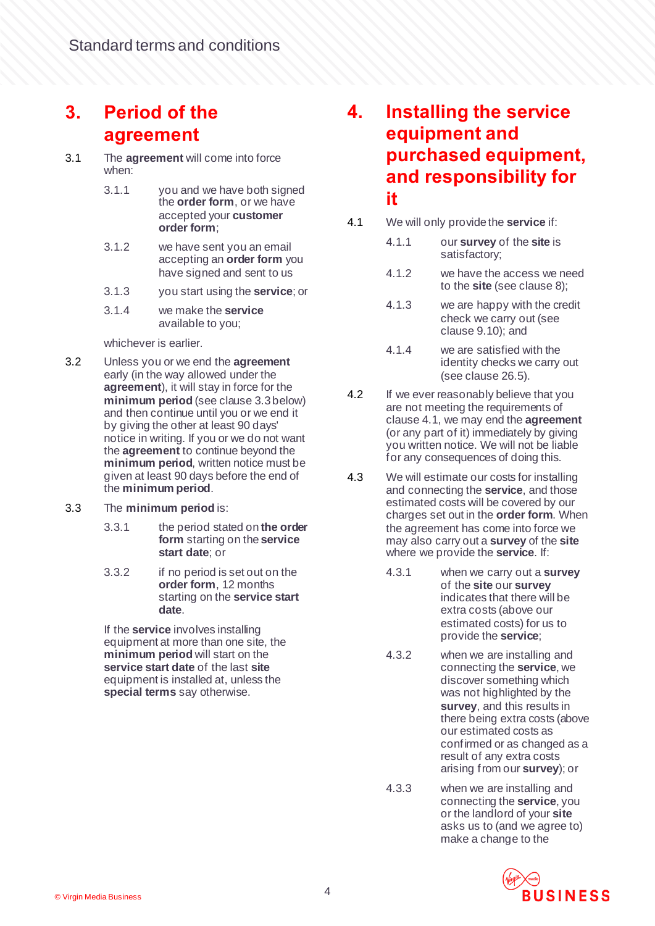## **3. Period of the agreement**

- 3.1 The **agreement** will come into force when:
	- 3.1.1 you and we have both signed the **order form**, or we have accepted your **customer order form**;
	- 3.1.2 we have sent you an email accepting an **order form** you have signed and sent to us
	- 3.1.3 you start using the **service**; or
	- 3.1.4 we make the **service** available to you;

#### whichever is earlier.

- <span id="page-3-3"></span>3.2 Unless you or we end the **agreement**  early (in the way allowed under the **agreement**), it will stay in force for the **minimum period** (see clause [3.3](#page-3-0) below) and then continue until you or we end it by giving the other at least 90 days' notice in writing. If you or we do not want the **agreement** to continue beyond the **minimum period**, written notice must be given at least 90 days before the end of the **minimum period**.
- <span id="page-3-0"></span>3.3 The **minimum period** is:
	- 3.3.1 the period stated on **the order form** starting on the **service start date**; or
	- 3.3.2 if no period is set out on the **order form**, 12 months starting on the **service start date**.

If the **service** involves installing equipment at more than one site, the **minimum period** will start on the **service start date** of the last **site**  equipment is installed at, unless the **special terms** say otherwise.

#### **4. Installing the service equipment and purchased equipment, and responsibility for it**

- <span id="page-3-1"></span>4.1 We will only provide the **service** if:
	- 4.1.1 our **survey** of the **site** is satisfactory;
	- 4.1.2 we have the access we need to the **site** (see claus[e 8](#page-7-0));
	- 4.1.3 we are happy with the credit check we carry out (see claus[e 9.10\)](#page-9-1); and
	- 4.1.4 we are satisfied with the identity checks we carry out (see claus[e 26.5\)](#page-24-0).
- 4.2 If we ever reasonably believe that you are not meeting the requirements of claus[e 4.1,](#page-3-1) we may end the **agreement** (or any part of it) immediately by giving you written notice. We will not be liable for any consequences of doing this.
- <span id="page-3-2"></span>4.3 We will estimate our costs for installing and connecting the **service**, and those estimated costs will be covered by our charges set out in the **order form**. When the agreement has come into force we may also carry out a **survey** of the **site** where we provide the **service**. If:
	- 4.3.1 when we carry out a **survey** of the **site** our **survey** indicates that there will be extra costs (above our estimated costs) for us to provide the **service**;
	- 4.3.2 when we are installing and connecting the **service**, we discover something which was not highlighted by the **survey**, and this results in there being extra costs (above our estimated costs as confirmed or as changed as a result of any extra costs arising from our **survey**); or
	- 4.3.3 when we are installing and connecting the **service**, you or the landlord of your **site** asks us to (and we agree to) make a change to the

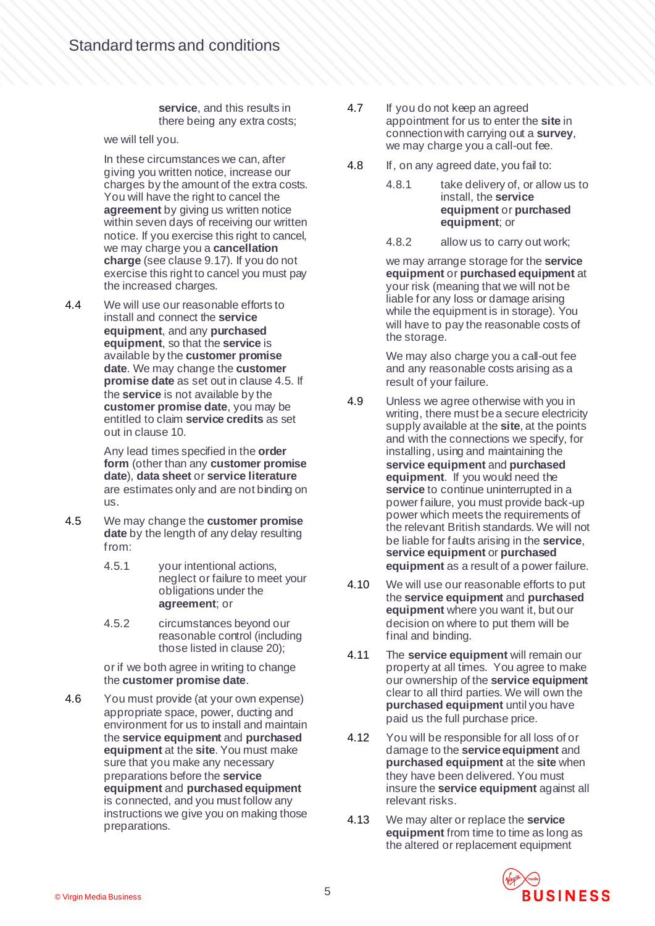#### **service**, and this results in there being any extra costs;

we will tell you.

In these circumstances we can, after giving you written notice, increase our charges by the amount of the extra costs. You will have the right to cancel the **agreement** by giving us written notice within seven days of receiving our written notice. If you exercise this right to cancel, we may charge you a **cancellation charge** (see claus[e 9.17\)](#page-9-0). If you do not exercise this right to cancel you must pay the increased charges.

4.4 We will use our reasonable efforts to install and connect the **service equipment**, and any **purchased equipment**, so that the **service** is available by the **customer promise date**. We may change the **customer promise date** as set out in claus[e 4.5.](#page-4-0) If the **service** is not available by the **customer promise date**, you may be entitled to claim **service credits** as set out in clause [10.](#page-10-0)

> Any lead times specified in the **order form** (other than any **customer promise date**), **data sheet** or **service literature** are estimates only and are not binding on us.

- <span id="page-4-0"></span>4.5 We may change the **customer promise date** by the length of any delay resulting from:
	- 4.5.1 your intentional actions, neglect or failure to meet your obligations under the **agreement**; or
	- 4.5.2 circumstances beyond our reasonable control (including those listed in clause [20\)](#page-19-0);

or if we both agree in writing to change the **customer promise date**.

4.6 You must provide (at your own expense) appropriate space, power, ducting and environment for us to install and maintain the **service equipment** and **purchased equipment** at the **site**. You must make sure that you make any necessary preparations before the **service equipment** and **purchased equipment** is connected, and you must follow any instructions we give you on making those preparations.

- 4.7 If you do not keep an agreed appointment for us to enter the **site** in connection with carrying out a **survey**, we may charge you a call-out fee.
- 4.8 If, on any agreed date, you fail to:
	- 4.8.1 take delivery of, or allow us to install, the **service equipment** or **purchased equipment**; or
	- 4.8.2 allow us to carry out work;

we may arrange storage for the **service equipment** or **purchased equipment** at your risk (meaning that we will not be liable for any loss or damage arising while the equipment is in storage). You will have to pay the reasonable costs of the storage.

We may also charge you a call-out fee and any reasonable costs arising as a result of your failure.

- 4.9 Unless we agree otherwise with you in writing, there must be a secure electricity supply available at the **site**, at the points and with the connections we specify, for installing, using and maintaining the **service equipment** and **purchased equipment**. If you would need the **service** to continue uninterrupted in a power failure, you must provide back-up power which meets the requirements of the relevant British standards. We will not be liable for faults arising in the **service**, **service equipment** or **purchased equipment** as a result of a power failure.
- 4.10 We will use our reasonable efforts to put the **service equipment** and **purchased equipment** where you want it, but our decision on where to put them will be final and binding.
- 4.11 The **service equipment** will remain our property at all times. You agree to make our ownership of the **service equipment** clear to all third parties. We will own the **purchased equipment** until you have paid us the full purchase price.
- 4.12 You will be responsible for all loss of or damage to the **service equipment** and **purchased equipment** at the **site** when they have been delivered. You must insure the **service equipment** against all relevant risks.
- 4.13 We may alter or replace the **service equipment** from time to time as long as the altered or replacement equipment

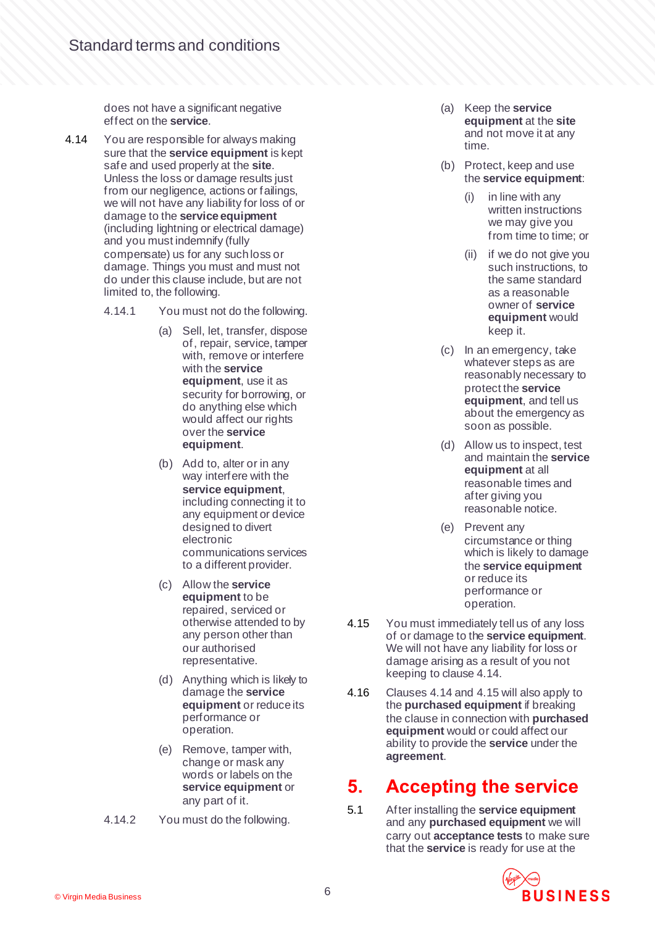does not have a significant negative effect on the **service**.

- <span id="page-5-0"></span>4.14 You are responsible for always making sure that the **service equipment** is kept safe and used properly at the **site**. Unless the loss or damage results just from our negligence, actions or failings, we will not have any liability for loss of or damage to the **service equipment** (including lightning or electrical damage) and you must indemnify (fully compensate) us for any such loss or damage. Things you must and must not do under this clause include, but are not limited to, the following.
	- 4.14.1 You must not do the following.
		- (a) Sell, let, transfer, dispose of, repair, service, tamper with, remove or interfere with the **service equipment**, use it as security for borrowing, or do anything else which would affect our rights over the **service equipment**.
		- (b) Add to, alter or in any way interfere with the **service equipment**, including connecting it to any equipment or device designed to divert electronic communications services to a different provider.
		- (c) Allow the **service equipment** to be repaired, serviced or otherwise attended to by any person other than our authorised representative.
		- (d) Anything which is likely to damage the **service equipment** or reduce its performance or operation.
		- (e) Remove, tamper with, change or mask any words or labels on the **service equipment** or any part of it.
	- 4.14.2 You must do the following.
- (a) Keep the **service equipment** at the **site** and not move it at any time.
- (b) Protect, keep and use the **service equipment**:
	- (i) in line with any written instructions we may give you from time to time; or
	- (ii) if we do not give you such instructions, to the same standard as a reasonable owner of **service equipment** would keep it.
- (c) In an emergency, take whatever steps as are reasonably necessary to protect the **service equipment**, and tell us about the emergency as soon as possible.
- (d) Allow us to inspect, test and maintain the **service equipment** at all reasonable times and after giving you reasonable notice.
- (e) Prevent any circumstance or thing which is likely to damage the **service equipment** or reduce its performance or operation.
- <span id="page-5-1"></span>4.15 You must immediately tell us of any loss of or damage to the **service equipment**. We will not have any liability for loss or damage arising as a result of you not keeping to claus[e 4.14](#page-5-0).
- 4.16 Clause[s 4.14](#page-5-0) an[d 4.15](#page-5-1) will also apply to the **purchased equipment** if breaking the clause in connection with **purchased equipment** would or could affect our ability to provide the **service** under the **agreement**.

## **5. Accepting the service**

5.1 After installing the **service equipment** and any **purchased equipment** we will carry out **acceptance tests** to make sure that the **service** is ready for use at the

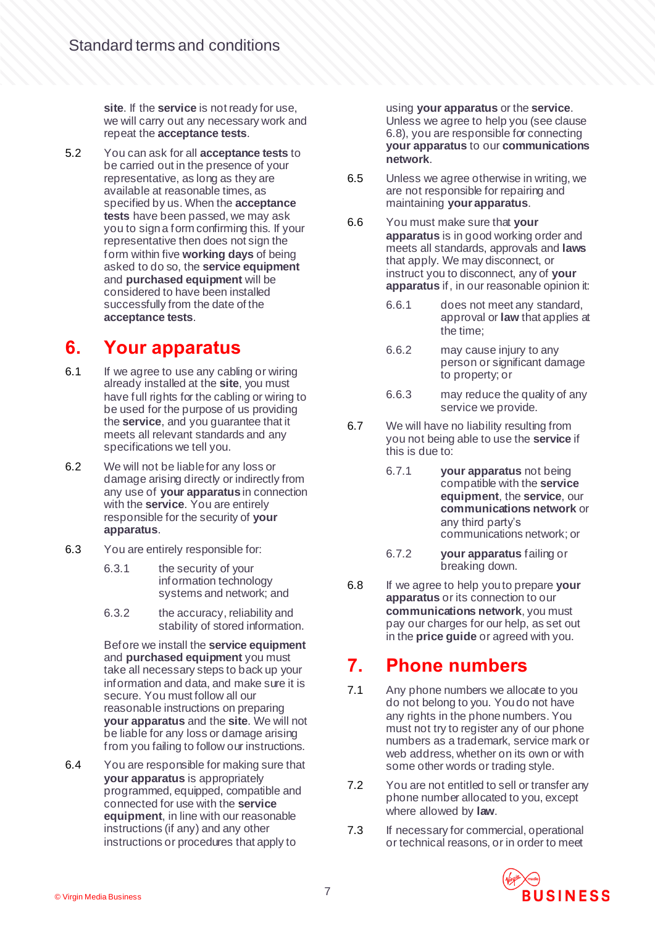**site**. If the **service** is not ready for use, we will carry out any necessary work and repeat the **acceptance tests**.

5.2 You can ask for all **acceptance tests** to be carried out in the presence of your representative, as long as they are available at reasonable times, as specified by us. When the **acceptance tests** have been passed, we may ask you to sign a form confirming this. If your representative then does not sign the form within five **working days** of being asked to do so, the **service equipment** and **purchased equipment** will be considered to have been installed successfully from the date of the **acceptance tests**.

#### **6. Your apparatus**

- 6.1 If we agree to use any cabling or wiring already installed at the **site**, you must have full rights for the cabling or wiring to be used for the purpose of us providing the **service**, and you guarantee that it meets all relevant standards and any specifications we tell you.
- 6.2 We will not be liable for any loss or damage arising directly or indirectly from any use of **your apparatus** in connection with the **service**. You are entirely responsible for the security of **your apparatus**.
- 6.3 You are entirely responsible for:
	- 6.3.1 the security of your information technology systems and network; and
	- 6.3.2 the accuracy, reliability and stability of stored information.

Before we install the **service equipment** and **purchased equipment** you must take all necessary steps to back up your information and data, and make sure it is secure. You must follow all our reasonable instructions on preparing **your apparatus** and the **site**. We will not be liable for any loss or damage arising from you failing to follow our instructions.

6.4 You are responsible for making sure that **your apparatus** is appropriately programmed, equipped, compatible and connected for use with the **service equipment**, in line with our reasonable instructions (if any) and any other instructions or procedures that apply to

using **your apparatus** or the **service**. Unless we agree to help you (see clause [6.8\)](#page-6-0), you are responsible for connecting **your apparatus** to our **communications network**.

- 6.5 Unless we agree otherwise in writing, we are not responsible for repairing and maintaining **your apparatus**.
- 6.6 You must make sure that **your apparatus** is in good working order and meets all standards, approvals and **laws** that apply. We may disconnect, or instruct you to disconnect, any of **your apparatus** if, in our reasonable opinion it:
	- 6.6.1 does not meet any standard, approval or **law** that applies at the time;
	- 6.6.2 may cause injury to any person or significant damage to property; or
	- 6.6.3 may reduce the quality of any service we provide.
- 6.7 We will have no liability resulting from you not being able to use the **service** if this is due to:
	- 6.7.1 **your apparatus** not being compatible with the **service equipment**, the **service**, our **communications network** or any third party's communications network; or
	- 6.7.2 **your apparatus** failing or breaking down.
- <span id="page-6-0"></span>6.8 If we agree to help you to prepare **your apparatus** or its connection to our **communications network**, you must pay our charges for our help, as set out in the **price guide** or agreed with you.

## **7. Phone numbers**

- 7.1 Any phone numbers we allocate to you do not belong to you. You do not have any rights in the phone numbers. You must not try to register any of our phone numbers as a trademark, service mark or web address, whether on its own or with some other words or trading style.
- 7.2 You are not entitled to sell or transfer any phone number allocated to you, except where allowed by **law**.
- 7.3 If necessary for commercial, operational or technical reasons, or in order to meet

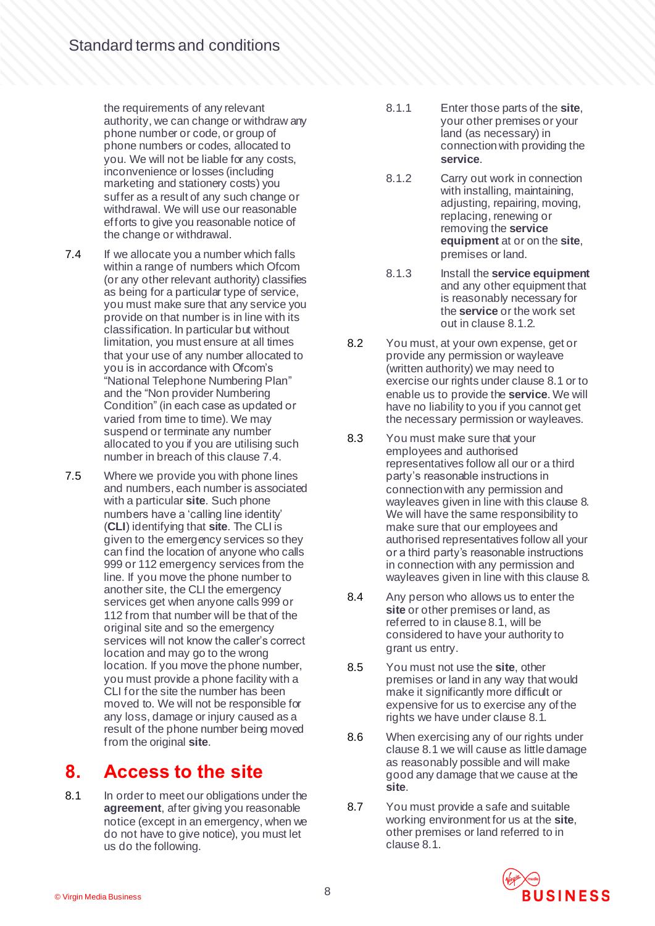the requirements of any relevant authority, we can change or withdraw any phone number or code, or group of phone numbers or codes, allocated to you. We will not be liable for any costs, inconvenience or losses (including marketing and stationery costs) you suffer as a result of any such change or withdrawal. We will use our reasonable efforts to give you reasonable notice of the change or withdrawal.

- <span id="page-7-1"></span>7.4 If we allocate you a number which falls within a range of numbers which Ofcom (or any other relevant authority) classifies as being for a particular type of service, you must make sure that any service you provide on that number is in line with its classification. In particular but without limitation, you must ensure at all times that your use of any number allocated to you is in accordance with Ofcom's "National Telephone Numbering Plan" and the "Non provider Numbering Condition" (in each case as updated or varied from time to time). We may suspend or terminate any number allocated to you if you are utilising such number in breach of this claus[e 7.4](#page-7-1).
- 7.5 Where we provide you with phone lines and numbers, each number is associated with a particular **site**. Such phone numbers have a 'calling line identity' (**CLI**) identifying that **site**. The CLI is given to the emergency services so they can find the location of anyone who calls 999 or 112 emergency services from the line. If you move the phone number to another site, the CLI the emergency services get when anyone calls 999 or 112 from that number will be that of the original site and so the emergency services will not know the caller's correct location and may go to the wrong location. If you move the phone number, you must provide a phone facility with a CLI for the site the number has been moved to. We will not be responsible for any loss, damage or injury caused as a result of the phone number being moved from the original **site**.

## <span id="page-7-0"></span>**8. Access to the site**

<span id="page-7-3"></span>8.1 In order to meet our obligations under the **agreement**, after giving you reasonable notice (except in an emergency, when we do not have to give notice), you must let us do the following.

- 8.1.1 Enter those parts of the **site**, your other premises or your land (as necessary) in connection with providing the **service**.
- <span id="page-7-2"></span>8.1.2 Carry out work in connection with installing, maintaining, adjusting, repairing, moving, replacing, renewing or removing the **service equipment** at or on the **site**, premises or land.
- 8.1.3 Install the **service equipment** and any other equipment that is reasonably necessary for the **service** or the work set out in claus[e 8.1.2.](#page-7-2)
- 8.2 You must, at your own expense, get or provide any permission or wayleave (written authority) we may need to exercise our rights under claus[e 8.1](#page-7-3) or to enable us to provide the **service**. We will have no liability to you if you cannot get the necessary permission or wayleaves.
- 8.3 You must make sure that your employees and authorised representatives follow all our or a third party's reasonable instructions in connection with any permission and wayleaves given in line with this claus[e 8.](#page-7-0) We will have the same responsibility to make sure that our employees and authorised representatives follow all your or a third party's reasonable instructions in connection with any permission and wayleaves given in line with this claus[e 8.](#page-7-0)
- 8.4 Any person who allows us to enter the **site** or other premises or land, as referred to in claus[e 8.1](#page-7-3), will be considered to have your authority to grant us entry.
- 8.5 You must not use the **site**, other premises or land in any way that would make it significantly more difficult or expensive for us to exercise any of the rights we have under claus[e 8.1](#page-7-3).
- 8.6 When exercising any of our rights under claus[e 8.1](#page-7-3) we will cause as little damage as reasonably possible and will make good any damage that we cause at the **site**.
- 8.7 You must provide a safe and suitable working environment for us at the **site**, other premises or land referred to in claus[e 8.1.](#page-7-3)

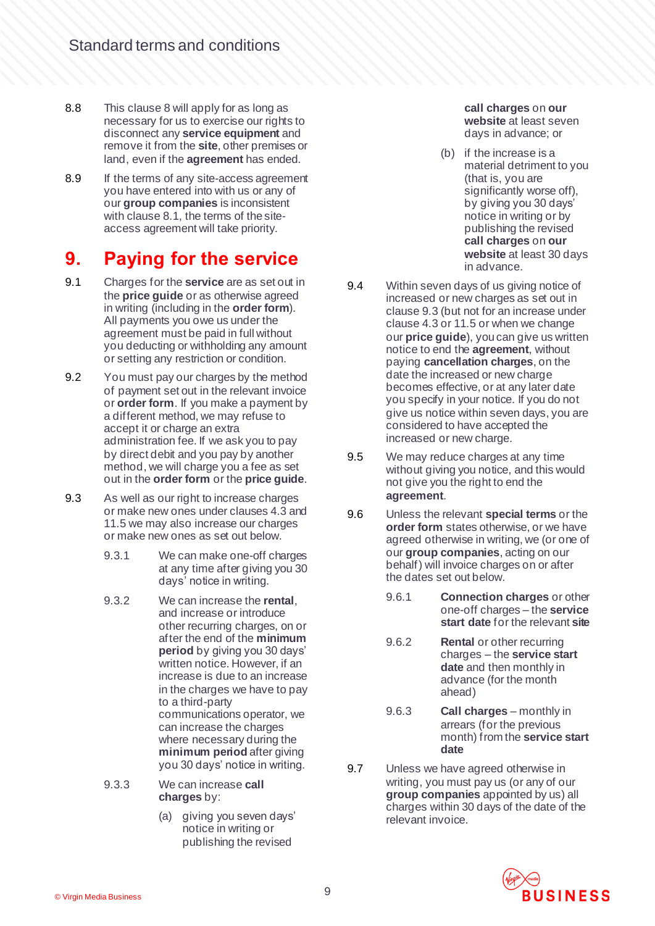- 8.8 This claus[e 8](#page-7-0) will apply for as long as necessary for us to exercise our rights to disconnect any **service equipment** and remove it from the **site**, other premises or land, even if the **agreement** has ended.
- 8.9 If the terms of any site-access agreement you have entered into with us or any of our **group companies** is inconsistent with claus[e 8.1,](#page-7-3) the terms of the siteaccess agreement will take priority.

# **9. Paying for the service**

- 9.1 Charges for the **service** are as set out in the **price guide** or as otherwise agreed in writing (including in the **order form**). All payments you owe us under the agreement must be paid in full without you deducting or withholding any amount or setting any restriction or condition.
- 9.2 You must pay our charges by the method of payment set out in the relevant invoice or **order form**. If you make a payment by a different method, we may refuse to accept it or charge an extra administration fee. If we ask you to pay by direct debit and you pay by another method, we will charge you a fee as set out in the **order form** or the **price guide**.
- <span id="page-8-0"></span>9.3 As well as our right to increase charges or make new ones under clause[s 4.3](#page-3-2) and [11.5](#page-11-0) we may also increase our charges or make new ones as set out below.
	- 9.3.1 We can make one-off charges at any time after giving you 30 days' notice in writing.
	- 9.3.2 We can increase the **rental**, and increase or introduce other recurring charges, on or after the end of the **minimum period** by giving you 30 days' written notice. However, if an increase is due to an increase in the charges we have to pay to a third-party communications operator, we can increase the charges where necessary during the **minimum period** after giving you 30 days' notice in writing.
	- 9.3.3 We can increase **call charges** by:
		- (a) giving you seven days' notice in writing or publishing the revised

**call charges** on **our website** at least seven days in advance; or

- (b) if the increase is a material detriment to you (that is, you are significantly worse off), by giving you 30 days' notice in writing or by publishing the revised **call charges** on **our website** at least 30 days in advance.
- <span id="page-8-1"></span>9.4 Within seven days of us giving notice of increased or new charges as set out in claus[e 9.3](#page-8-0) (but not for an increase under claus[e 4.3](#page-3-2) o[r 11.5](#page-11-0) or when we change our **price guide**), you can give us written notice to end the **agreement**, without paying **cancellation charges**, on the date the increased or new charge becomes effective, or at any later date you specify in your notice. If you do not give us notice within seven days, you are considered to have accepted the increased or new charge.
- 9.5 We may reduce charges at any time without giving you notice, and this would not give you the right to end the **agreement**.
- 9.6 Unless the relevant **special terms** or the **order form** states otherwise, or we have agreed otherwise in writing, we (or one of our **group companies**, acting on our behalf) will invoice charges on or after the dates set out below.
	- 9.6.1 **Connection charges** or other one-off charges – the **service start date** for the relevant **site**
	- 9.6.2 **Rental** or other recurring charges – the **service start date** and then monthly in advance (for the month ahead)
	- 9.6.3 **Call charges** monthly in arrears (for the previous month) from the **service start date**
- <span id="page-8-2"></span>9.7 Unless we have agreed otherwise in writing, you must pay us (or any of our **group companies** appointed by us) all charges within 30 days of the date of the relevant invoice.

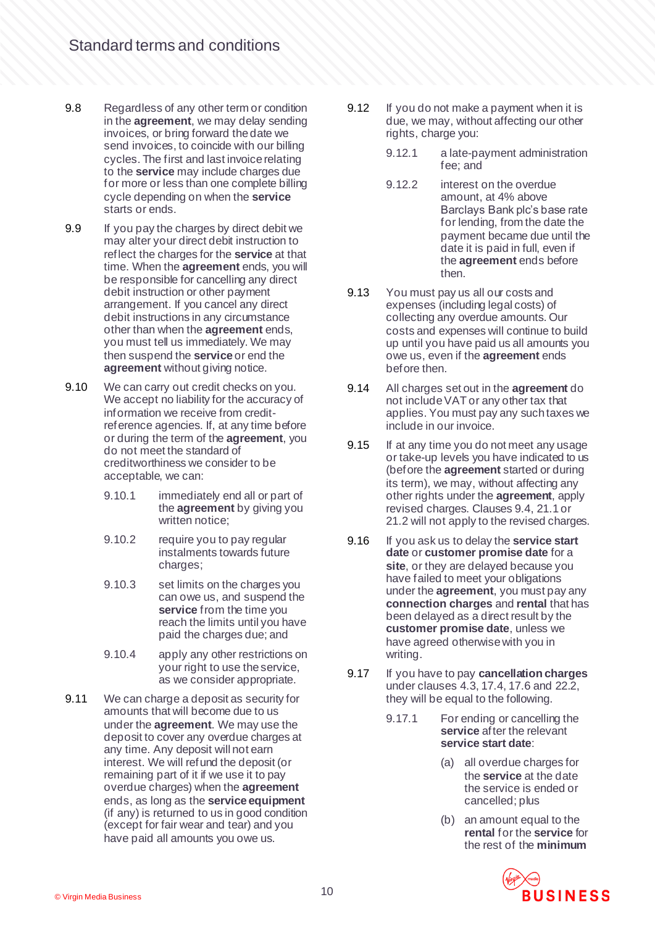- 9.8 Regardless of any other term or condition in the **agreement**, we may delay sending invoices, or bring forward the date we send invoices, to coincide with our billing cycles. The first and last invoice relating to the **service** may include charges due for more or less than one complete billing cycle depending on when the **service** starts or ends.
- 9.9 If you pay the charges by direct debit we may alter your direct debit instruction to reflect the charges for the **service** at that time. When the **agreement** ends, you will be responsible for cancelling any direct debit instruction or other payment arrangement. If you cancel any direct debit instructions in any circumstance other than when the **agreement** ends, you must tell us immediately. We may then suspend the **service** or end the **agreement** without giving notice.
- <span id="page-9-1"></span>9.10 We can carry out credit checks on you. We accept no liability for the accuracy of information we receive from creditreference agencies. If, at any time before or during the term of the **agreement**, you do not meet the standard of creditworthiness we consider to be acceptable, we can:
	- 9.10.1 immediately end all or part of the **agreement** by giving you written notice;
	- 9.10.2 require you to pay reqular instalments towards future charges;
	- 9.10.3 set limits on the charges you can owe us, and suspend the **service** from the time you reach the limits until you have paid the charges due; and
	- 9.10.4 apply any other restrictions on your right to use the service, as we consider appropriate.
- 9.11 We can charge a deposit as security for amounts that will become due to us under the **agreement**. We may use the deposit to cover any overdue charges at any time. Any deposit will not earn interest. We will refund the deposit (or remaining part of it if we use it to pay overdue charges) when the **agreement**  ends, as long as the **service equipment** (if any) is returned to us in good condition (except for fair wear and tear) and you have paid all amounts you owe us.
- 9.12 If you do not make a payment when it is due, we may, without affecting our other rights, charge you:
	- 9.12.1 a late-payment administration fee; and
	- 9.12.2 interest on the overdue amount, at 4% above Barclays Bank plc's base rate for lending, from the date the payment became due until the date it is paid in full, even if the **agreement** ends before then.
- 9.13 You must pay us all our costs and expenses (including legal costs) of collecting any overdue amounts. Our costs and expenses will continue to build up until you have paid us all amounts you owe us, even if the **agreement** ends before then.
- 9.14 All charges set out in the **agreement** do not include VAT or any other tax that applies. You must pay any such taxes we include in our invoice.
- 9.15 If at any time you do not meet any usage or take-up levels you have indicated to us (before the **agreement** started or during its term), we may, without affecting any other rights under the **agreement**, apply revised charges. Clause[s 9.4](#page-8-1)[, 21.1](#page-19-1) or [21.2](#page-19-2) will not apply to the revised charges.
- 9.16 If you ask us to delay the **service start date** or **customer promise date** for a **site**, or they are delayed because you have failed to meet your obligations under the **agreement**, you must pay any **connection charges** and **rental** that has been delayed as a direct result by the **customer promise date**, unless we have agreed otherwise with you in writing.
- <span id="page-9-0"></span>9.17 If you have to pay **cancellation charges** under clause[s 4.3](#page-3-2)[, 17.4](#page-16-0)[, 17.6](#page-16-1) an[d 22.2,](#page-20-0) they will be equal to the following.
	- 9.17.1 For ending or cancelling the **service** after the relevant **service start date**:
		- (a) all overdue charges for the **service** at the date the service is ended or cancelled; plus
		- (b) an amount equal to the **rental** for the **service** for the rest of the **minimum**

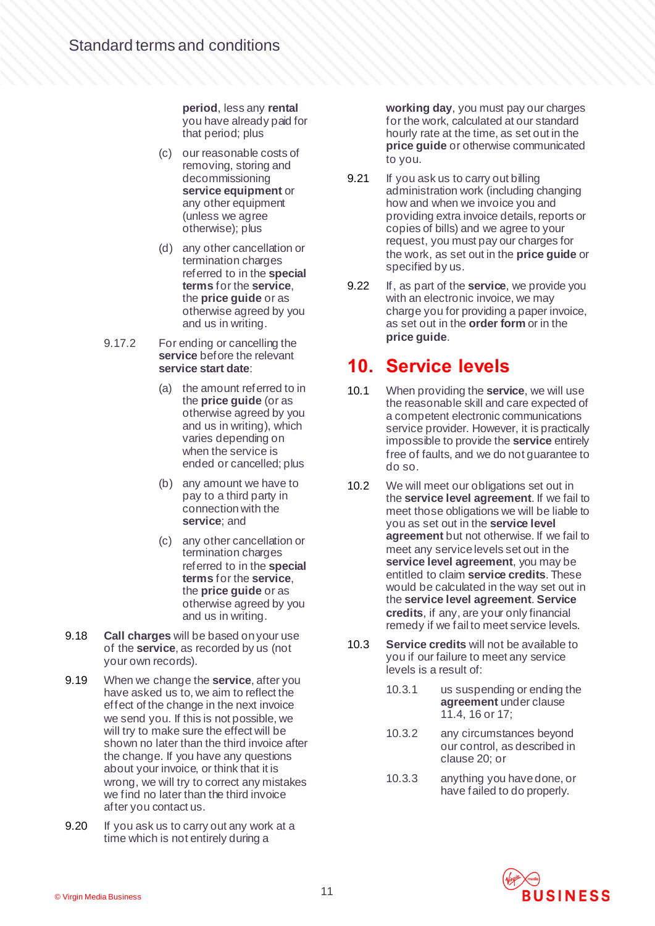**period**, less any **rental** you have already paid for that period; plus

- (c) our reasonable costs of removing, storing and decommissioning **service equipment** or any other equipment (unless we agree otherwise); plus
- (d) any other cancellation or termination charges referred to in the **special terms** for the **service**, the **price guide** or as otherwise agreed by you and us in writing.
- 9.17.2 For ending or cancelling the service before the relevant **service start date**:
	- (a) the amount referred to in the **price guide** (or as otherwise agreed by you and us in writing), which varies depending on when the service is ended or cancelled; plus
	- (b) any amount we have to pay to a third party in connection with the **service**; and
	- (c) any other cancellation or termination charges referred to in the **special terms** for the **service**, the **price guide** or as otherwise agreed by you and us in writing.
- 9.18 **Call charges** will be based on your use of the **service**, as recorded by us (not your own records).
- 9.19 When we change the **service**, after you have asked us to, we aim to reflect the effect of the change in the next invoice we send you. If this is not possible, we will try to make sure the effect will be shown no later than the third invoice after the change. If you have any questions about your invoice, or think that it is wrong, we will try to correct any mistakes we find no later than the third invoice after you contact us.
- 9.20 If you ask us to carry out any work at a time which is not entirely during a

**working day**, you must pay our charges for the work, calculated at our standard hourly rate at the time, as set out in the **price guide** or otherwise communicated to you.

- 9.21 If you ask us to carry out billing administration work (including changing how and when we invoice you and providing extra invoice details, reports or copies of bills) and we agree to your request, you must pay our charges for the work, as set out in the **price guide** or specified by us.
- 9.22 If, as part of the **service**, we provide you with an electronic invoice, we may charge you for providing a paper invoice, as set out in the **order form** or in the **price guide**.

#### <span id="page-10-0"></span>**10. Service levels**

- 10.1 When providing the **service**, we will use the reasonable skill and care expected of a competent electronic communications service provider. However, it is practically impossible to provide the **service** entirely free of faults, and we do not guarantee to do so.
- 10.2 We will meet our obligations set out in the **service level agreement**. If we fail to meet those obligations we will be liable to you as set out in the **service level agreement** but not otherwise. If we fail to meet any service levels set out in the **service level agreement**, you may be entitled to claim **service credits**. These would be calculated in the way set out in the **service level agreement**. **Service credits**, if any, are your only financial remedy if we fail to meet service levels.
- 10.3 **Service credits** will not be available to you if our failure to meet any service levels is a result of:
	- 10.3.1 us suspending or ending the **agreement** under clause [11.4,](#page-11-1) [16](#page-15-0) o[r 17;](#page-15-1)
	- 10.3.2 any circumstances beyond our control, as described in claus[e 20;](#page-19-0) or
	- 10.3.3 anything you have done, or have failed to do properly.

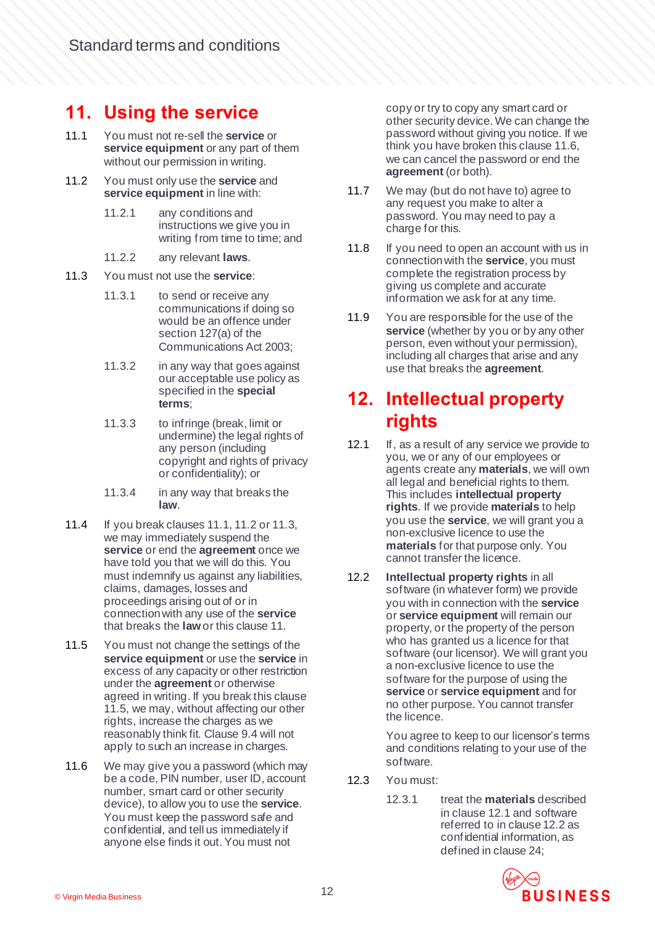## <span id="page-11-5"></span>**11. Using the service**

- <span id="page-11-2"></span>11.1 You must not re-sell the **service** or **service equipment** or any part of them without our permission in writing.
- <span id="page-11-3"></span>11.2 You must only use the **service** and **service equipment** in line with:
	- 11.2.1 any conditions and instructions we give you in writing from time to time; and
	- 11.2.2 any relevant **laws**.
- <span id="page-11-4"></span>11.3 You must not use the **service**:
	- 11.3.1 to send or receive any communications if doing so would be an offence under section 127(a) of the Communications Act 2003;
	- 11.3.2 in any way that goes against our acceptable use policy as specified in the **special terms**;
	- 11.3.3 to infringe (break, limit or undermine) the legal rights of any person (including copyright and rights of privacy or confidentiality); or
	- 11.3.4 in any way that breaks the **law**.
- <span id="page-11-1"></span>11.4 If you break clause[s 11.1](#page-11-2)[, 11.2](#page-11-3) o[r 11.3](#page-11-4), we may immediately suspend the **service** or end the **agreement** once we have told you that we will do this. You must indemnify us against any liabilities, claims, damages, losses and proceedings arising out of or in connection with any use of the **service** that breaks the **law**or this claus[e 11.](#page-11-5)
- <span id="page-11-0"></span>11.5 You must not change the settings of the **service equipment** or use the **service** in excess of any capacity or other restriction under the **agreement** or otherwise agreed in writing. If you break this clause [11.5,](#page-11-0) we may, without affecting our other rights, increase the charges as we reasonably think fit. Claus[e 9.4](#page-8-1) will not apply to such an increase in charges.
- <span id="page-11-6"></span>11.6 We may give you a password (which may be a code, PIN number, user ID, account number, smart card or other security device), to allow you to use the **service**. You must keep the password safe and confidential, and tell us immediately if anyone else finds it out. You must not

copy or try to copy any smart card or other security device. We can change the password without giving you notice. If we think you have broken this claus[e 11.6](#page-11-6), we can cancel the password or end the **agreement** (or both).

- 11.7 We may (but do not have to) agree to any request you make to alter a password. You may need to pay a charge for this.
- 11.8 If you need to open an account with us in connection with the **service**, you must complete the registration process by giving us complete and accurate information we ask for at any time.
- 11.9 You are responsible for the use of the **service** (whether by you or by any other person, even without your permission), including all charges that arise and any use that breaks the **agreement**.

#### **12. Intellectual property rights**

- <span id="page-11-7"></span>12.1 If, as a result of any service we provide to you, we or any of our employees or agents create any **materials**, we will own all legal and beneficial rights to them. This includes **intellectual property rights**. If we provide **materials** to help you use the **service**, we will grant you a non-exclusive licence to use the **materials** for that purpose only. You cannot transfer the licence.
- <span id="page-11-8"></span>12.2 **Intellectual property rights** in all software (in whatever form) we provide you with in connection with the **service** or **service equipment** will remain our property, or the property of the person who has granted us a licence for that software (our licensor). We will grant you a non-exclusive licence to use the software for the purpose of using the **service** or **service equipment** and for no other purpose. You cannot transfer the licence.

You agree to keep to our licensor's terms and conditions relating to your use of the software.

- 12.3 You must:
	- 12.3.1 treat the **materials** described in claus[e 12.1](#page-11-7) and software referred to in claus[e 12.2](#page-11-8) as confidential information, as defined in claus[e 24;](#page-21-0)

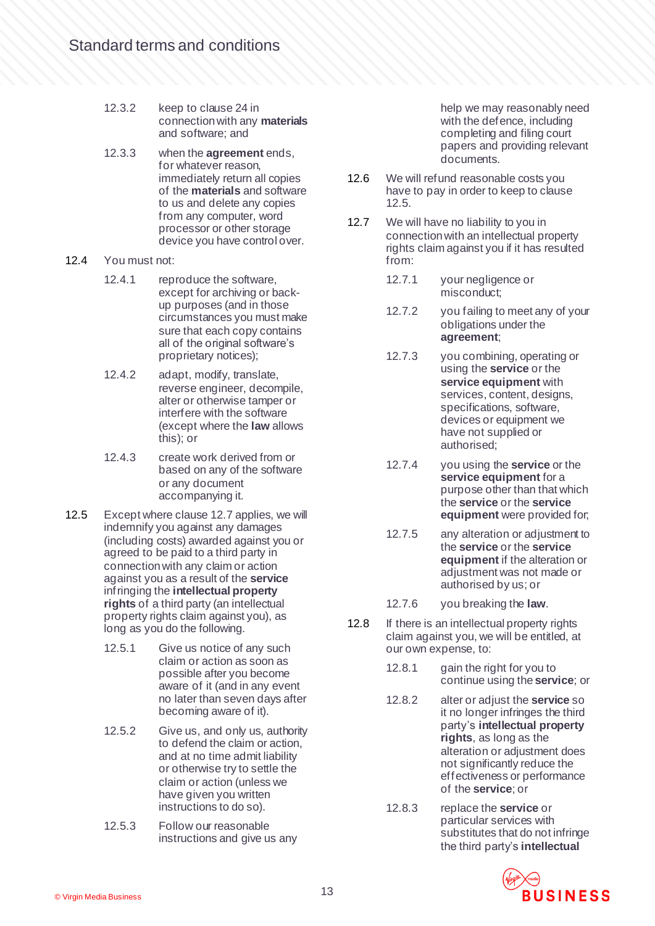- 12.3.2 keep to claus[e 24](#page-21-0) in connection with any **materials** and software; and
- 12.3.3 when the **agreement** ends, for whatever reason. immediately return all copies of the **materials** and software to us and delete any copies from any computer, word processor or other storage device you have control over.
- 12.4 You must not:
	- 12.4.1 reproduce the software, except for archiving or backup purposes (and in those circumstances you must make sure that each copy contains all of the original software's proprietary notices);
	- 12.4.2 adapt, modify, translate, reverse engineer, decompile, alter or otherwise tamper or interfere with the software (except where the **law** allows this); or
	- 12.4.3 create work derived from or based on any of the software or any document accompanying it.
- <span id="page-12-1"></span>12.5 Except where claus[e 12.7](#page-12-0) applies, we will indemnify you against any damages (including costs) awarded against you or agreed to be paid to a third party in connection with any claim or action against you as a result of the **service** infringing the **intellectual property rights** of a third party (an intellectual property rights claim against you), as long as you do the following.
	- 12.5.1 Give us notice of any such claim or action as soon as possible after you become aware of it (and in any event no later than seven days after becoming aware of it).
	- 12.5.2 Give us, and only us, authority to defend the claim or action, and at no time admit liability or otherwise try to settle the claim or action (unless we have given you written instructions to do so).
	- 12.5.3 Follow our reasonable instructions and give us any

help we may reasonably need with the defence, including completing and filing court papers and providing relevant documents.

- 12.6 We will refund reasonable costs you have to pay in order to keep to clause [12.5.](#page-12-1)
- <span id="page-12-0"></span>12.7 We will have no liability to you in connection with an intellectual property rights claim against you if it has resulted from:
	- 12.7.1 your negligence or misconduct;
	- 12.7.2 you failing to meet any of your obligations under the **agreement**;
	- 12.7.3 you combining, operating or using the **service** or the **service equipment** with services, content, designs, specifications, software, devices or equipment we have not supplied or authorised;
	- 12.7.4 you using the **service** or the **service equipment** for a purpose other than that which the **service** or the **service equipment** were provided for;
	- 12.7.5 any alteration or adjustment to the **service** or the **service equipment** if the alteration or adjustment was not made or authorised by us; or
	- 12.7.6 you breaking the **law**.
- <span id="page-12-2"></span>12.8 If there is an intellectual property rights claim against you, we will be entitled, at our own expense, to:
	- 12.8.1 gain the right for you to continue using the **service**; or
	- 12.8.2 alter or adjust the **service** so it no longer infringes the third party's **intellectual property rights**, as long as the alteration or adjustment does not significantly reduce the effectiveness or performance of the **service**; or
	- 12.8.3 replace the **service** or particular services with substitutes that do not infringe the third party's **intellectual**

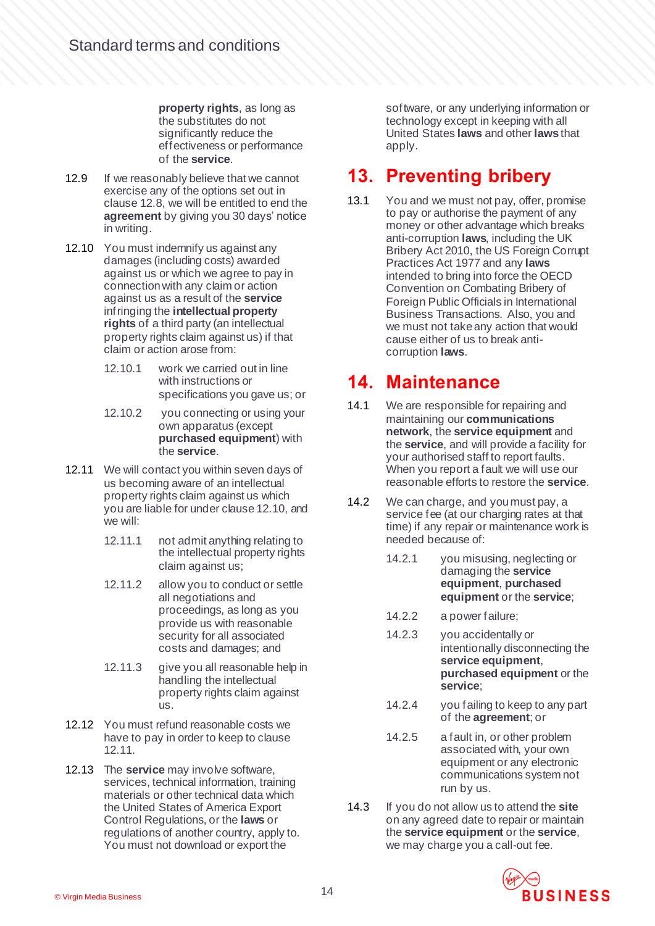**property rights**, as long as the substitutes do not significantly reduce the effectiveness or performance of the **service**.

- 12.9 If we reasonably believe that we cannot exercise any of the options set out in claus[e 12.8,](#page-12-2) we will be entitled to end the **agreement** by giving you 30 days' notice in writing.
- <span id="page-13-0"></span>12.10 You must indemnify us against any damages (including costs) awarded against us or which we agree to pay in connection with any claim or action against us as a result of the **service** infringing the **intellectual property rights** of a third party (an intellectual property rights claim against us) if that claim or action arose from:
	- 12.10.1 work we carried out in line with instructions or specifications you gave us; or
	- 12.10.2 you connecting or using your own apparatus (except **purchased equipment**) with the **service**.
- <span id="page-13-1"></span>12.11 We will contact you within seven days of us becoming aware of an intellectual property rights claim against us which you are liable for under claus[e 12.10,](#page-13-0) and we will:
	- 12.11.1 not admit anything relating to the intellectual property rights claim against us;
	- 12.11.2 allow you to conduct or settle all negotiations and proceedings, as long as you provide us with reasonable security for all associated costs and damages; and
	- 12.11.3 give you all reasonable help in handling the intellectual property rights claim against us.
- 12.12 You must refund reasonable costs we have to pay in order to keep to clause [12.11.](#page-13-1)
- 12.13 The **service** may involve software, services, technical information, training materials or other technical data which the United States of America Export Control Regulations, or the **laws** or regulations of another country, apply to. You must not download or export the

software, or any underlying information or technology except in keeping with all United States **laws** and other **laws** that apply.

# **13. Preventing bribery**

13.1 You and we must not pay, offer, promise to pay or authorise the payment of any money or other advantage which breaks anti-corruption **laws**, including the UK Bribery Act 2010, the US Foreign Corrupt Practices Act 1977 and any **laws** intended to bring into force the OECD Convention on Combating Bribery of Foreign Public Officials in International Business Transactions. Also, you and we must not take any action that would cause either of us to break anticorruption **laws**.

#### **14. Maintenance**

- 14.1 We are responsible for repairing and maintaining our **communications network**, the **service equipment** and the **service**, and will provide a facility for your authorised staff to report faults. When you report a fault we will use our reasonable efforts to restore the **service**.
- 14.2 We can charge, and you must pay, a service fee (at our charging rates at that time) if any repair or maintenance work is needed because of:
	- 14.2.1 you misusing, neglecting or damaging the **service equipment**, **purchased equipment** or the **service**;
	- 14.2.2 a power failure;
	- 14.2.3 you accidentally or intentionally disconnecting the **service equipment**, **purchased equipment** or the **service**;
	- 14.2.4 you failing to keep to any part of the **agreement**; or
	- 14.2.5 a fault in, or other problem associated with, your own equipment or any electronic communications system not run by us.
- 14.3 If you do not allow us to attend the **site** on any agreed date to repair or maintain the **service equipment** or the **service**, we may charge you a call-out fee.

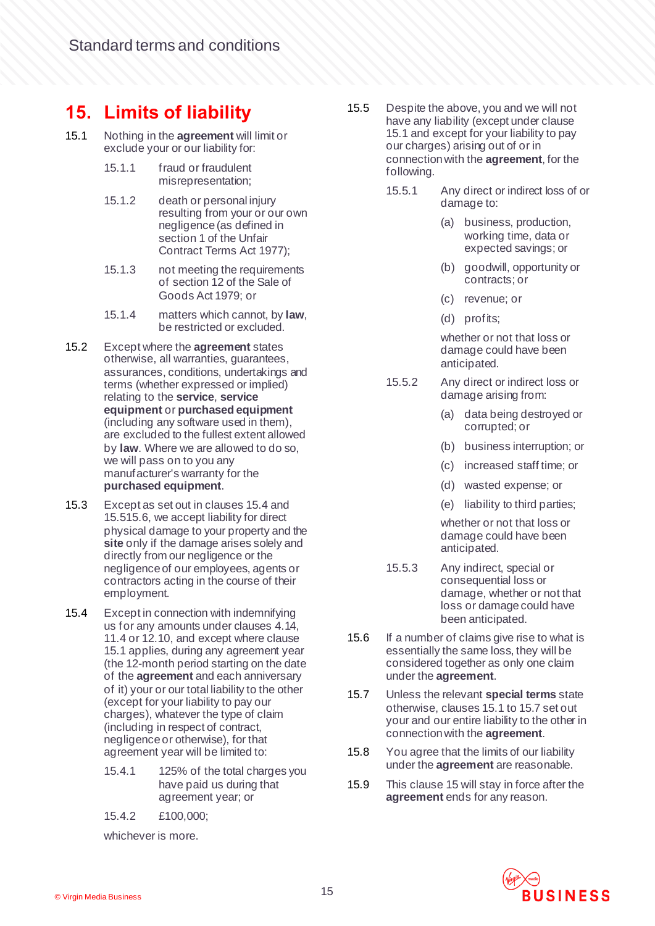## <span id="page-14-5"></span>**15. Limits of liability**

- <span id="page-14-3"></span>15.1 Nothing in the **agreement** will limit or exclude your or our liability for:
	- 15.1.1 fraud or fraudulent misrepresentation;
	- 15.1.2 death or personal injury resulting from your or our own negligence (as defined in section 1 of the Unfair Contract Terms Act 1977);
	- 15.1.3 not meeting the requirements of section 12 of the Sale of Goods Act 1979; or
	- 15.1.4 matters which cannot, by **law**, be restricted or excluded.
- 15.2 Except where the **agreement** states otherwise, all warranties, guarantees, assurances, conditions, undertakings and terms (whether expressed or implied) relating to the **service**, **service equipment** or **purchased equipment** (including any software used in them), are excluded to the fullest extent allowed by **law**. Where we are allowed to do so, we will pass on to you any manufacturer's warranty for the **purchased equipment**.
- 15.3 Except as set out in clause[s 15.4](#page-14-0) and [15.5](#page-14-1)[15.6,](#page-14-2) we accept liability for direct physical damage to your property and the **site** only if the damage arises solely and directly from our negligence or the negligence of our employees, agents or contractors acting in the course of their employment.
- <span id="page-14-0"></span>15.4 Except in connection with indemnifying us for any amounts under clause[s 4.14,](#page-5-0) [11.4](#page-11-1) or [12.10,](#page-13-0) and except where clause [15.1](#page-14-3) applies, during any agreement year (the 12-month period starting on the date of the **agreement** and each anniversary of it) your or our total liability to the other (except for your liability to pay our charges), whatever the type of claim (including in respect of contract, negligence or otherwise), for that agreement year will be limited to:
	- 15.4.1 125% of the total charges you have paid us during that agreement year; or
	- 15.4.2 £100,000;

whichever is more.

- <span id="page-14-1"></span>15.5 Despite the above, you and we will not have any liability (except under clause [15.1](#page-14-3) and except for your liability to pay our charges) arising out of or in connection with the **agreement**, for the following.
	- 15.5.1 Any direct or indirect loss of or damage to:
		- (a) business, production, working time, data or expected savings; or
		- (b) goodwill, opportunity or contracts; or
		- (c) revenue; or
		- (d) profits;

whether or not that loss or damage could have been anticipated.

- 15.5.2 Any direct or indirect loss or damage arising from:
	- (a) data being destroyed or corrupted; or
	- (b) business interruption; or
	- (c) increased staff time; or
	- (d) wasted expense; or
	- (e) liability to third parties;

whether or not that loss or damage could have been anticipated.

- 15.5.3 Any indirect, special or consequential loss or damage, whether or not that loss or damage could have been anticipated.
- <span id="page-14-2"></span>15.6 If a number of claims give rise to what is essentially the same loss, they will be considered together as only one claim under the **agreement**.
- <span id="page-14-4"></span>15.7 Unless the relevant **special terms** state otherwise, clause[s 15.1](#page-14-3) t[o 15.7](#page-14-4) set out your and our entire liability to the other in connection with the **agreement**.
- 15.8 You agree that the limits of our liability under the **agreement** are reasonable.
- 15.9 This claus[e 15](#page-14-5) will stay in force after the **agreement** ends for any reason.

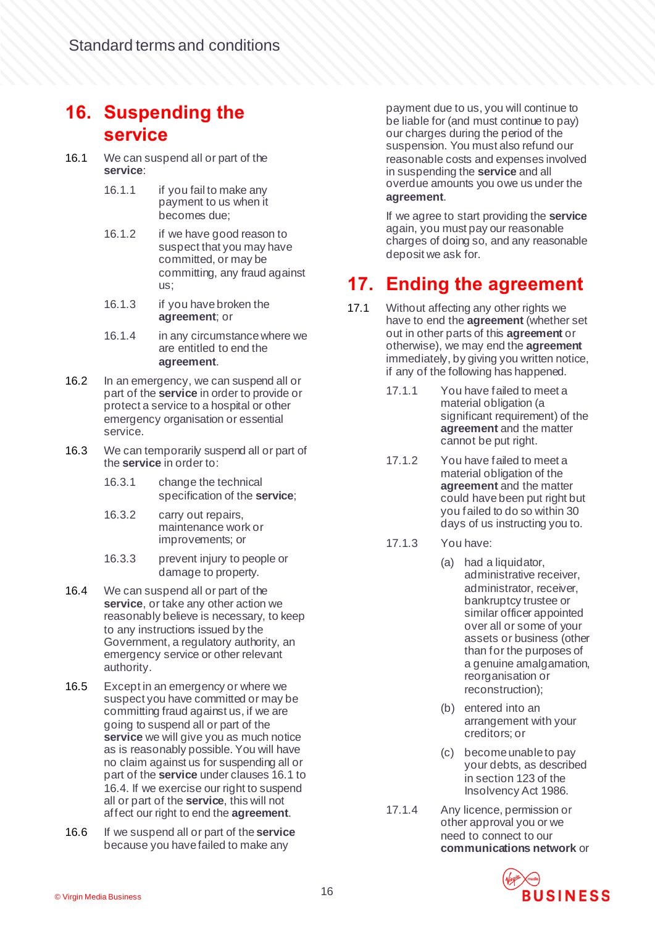#### <span id="page-15-0"></span>**16. Suspending the service**

- <span id="page-15-2"></span>16.1 We can suspend all or part of the **service**:
	- 16.1.1 if you fail to make any payment to us when it becomes due;
	- 16.1.2 if we have good reason to suspect that you may have committed, or may be committing, any fraud against us;
	- 16.1.3 if you have broken the **agreement**; or
	- 16.1.4 in any circumstance where we are entitled to end the **agreement**.
- 16.2 In an emergency, we can suspend all or part of the **service** in order to provide or protect a service to a hospital or other emergency organisation or essential service.
- 16.3 We can temporarily suspend all or part of the **service** in order to:
	- 16.3.1 change the technical specification of the **service**;
	- 16.3.2 carry out repairs, maintenance work or improvements; or
	- 16.3.3 prevent injury to people or damage to property.
- <span id="page-15-3"></span>16.4 We can suspend all or part of the **service**, or take any other action we reasonably believe is necessary, to keep to any instructions issued by the Government, a regulatory authority, an emergency service or other relevant authority.
- 16.5 Except in an emergency or where we suspect you have committed or may be committing fraud against us, if we are going to suspend all or part of the **service** we will give you as much notice as is reasonably possible. You will have no claim against us for suspending all or part of the **service** under clause[s 16.1](#page-15-2) to [16.4.](#page-15-3) If we exercise our right to suspend all or part of the **service**, this will not affect our right to end the **agreement**.
- 16.6 If we suspend all or part of the **service** because you have failed to make any

payment due to us, you will continue to be liable for (and must continue to pay) our charges during the period of the suspension. You must also refund our reasonable costs and expenses involved in suspending the **service** and all overdue amounts you owe us under the **agreement**.

If we agree to start providing the **service** again, you must pay our reasonable charges of doing so, and any reasonable deposit we ask for.

## <span id="page-15-1"></span>**17. Ending the agreement**

- 17.1 Without affecting any other rights we have to end the **agreement** (whether set out in other parts of this **agreement** or otherwise), we may end the **agreement** immediately, by giving you written notice, if any of the following has happened.
	- 17.1.1 You have failed to meet a material obligation (a significant requirement) of the **agreement** and the matter cannot be put right.
	- 17.1.2 You have failed to meet a material obligation of the **agreement** and the matter could have been put right but you failed to do so within 30 days of us instructing you to.
	- 17.1.3 You have:
		- (a) had a liquidator, administrative receiver, administrator, receiver, bankruptcy trustee or similar officer appointed over all or some of your assets or business (other than for the purposes of a genuine amalgamation, reorganisation or reconstruction);
		- (b) entered into an arrangement with your creditors; or
		- (c) become unable to pay your debts, as described in section 123 of the Insolvency Act 1986.
	- 17.1.4 Any licence, permission or other approval you or we need to connect to our **communications network** or

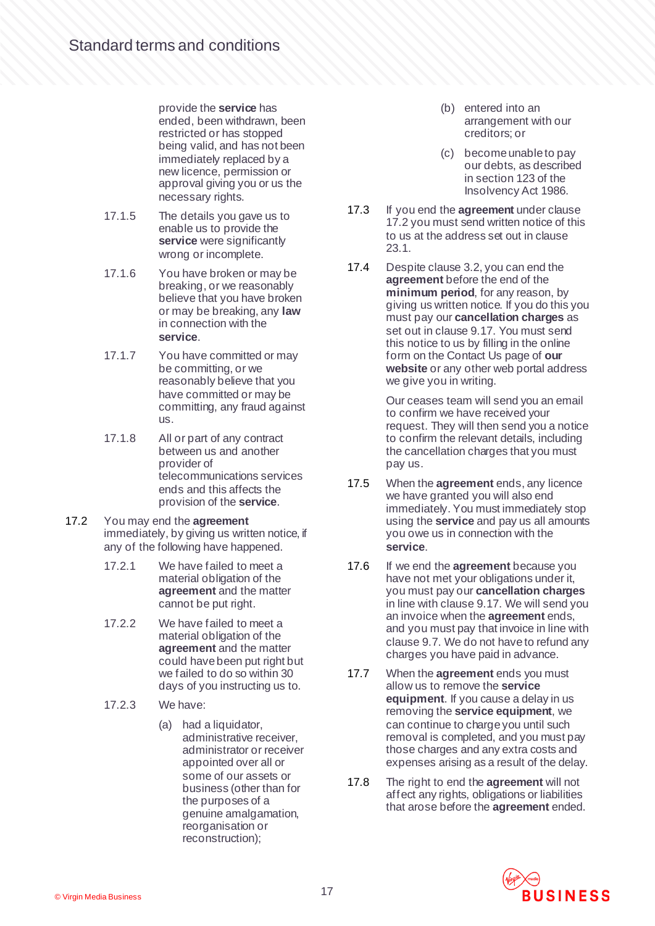provide the **service** has ended, been withdrawn, been restricted or has stopped being valid, and has not been immediately replaced by a new licence, permission or approval giving you or us the necessary rights.

- 17.1.5 The details you gave us to enable us to provide the **service** were significantly wrong or incomplete.
- 17.1.6 You have broken or may be breaking, or we reasonably believe that you have broken or may be breaking, any **law** in connection with the **service**.
- 17.1.7 You have committed or may be committing, or we reasonably believe that you have committed or may be committing, any fraud against us.
- 17.1.8 All or part of any contract between us and another provider of telecommunications services ends and this affects the provision of the **service**.
- <span id="page-16-2"></span>17.2 You may end the **agreement** immediately, by giving us written notice, if any of the following have happened.
	- 17.2.1 We have failed to meet a material obligation of the **agreement** and the matter cannot be put right.
	- 17.2.2 We have failed to meet a material obligation of the **agreement** and the matter could have been put right but we failed to do so within 30 days of you instructing us to.
	- 17.2.3 We have:
		- (a) had a liquidator, administrative receiver, administrator or receiver appointed over all or some of our assets or business (other than for the purposes of a genuine amalgamation, reorganisation or reconstruction);
- (b) entered into an arrangement with our creditors; or
- (c) become unable to pay our debts, as described in section 123 of the Insolvency Act 1986.
- 17.3 If you end the **agreement** under clause [17.2](#page-16-2) you must send written notice of this to us at the address set out in clause [23.1.](#page-21-1)
- <span id="page-16-0"></span>17.4 Despite clause [3.2](#page-3-3), you can end the **agreement** before the end of the **minimum period**, for any reason, by giving us written notice. If you do this you must pay our **cancellation charges** as set out in claus[e 9.17.](#page-9-0) You must send this notice to us by filling in the online form on the Contact Us page of **our website** or any other web portal address we give you in writing.

Our ceases team will send you an email to confirm we have received your request. They will then send you a notice to confirm the relevant details, including the cancellation charges that you must pay us.

- 17.5 When the **agreement** ends, any licence we have granted you will also end immediately. You must immediately stop using the **service** and pay us all amounts you owe us in connection with the **service**.
- <span id="page-16-1"></span>17.6 If we end the **agreement** because you have not met your obligations under it, you must pay our **cancellation charges** in line with claus[e 9.17.](#page-9-0) We will send you an invoice when the **agreement** ends, and you must pay that invoice in line with claus[e 9.7.](#page-8-2) We do not have to refund any charges you have paid in advance.
- 17.7 When the **agreement** ends you must allow us to remove the **service equipment**. If you cause a delay in us removing the **service equipment**, we can continue to charge you until such removal is completed, and you must pay those charges and any extra costs and expenses arising as a result of the delay.
- 17.8 The right to end the **agreement** will not affect any rights, obligations or liabilities that arose before the **agreement** ended.

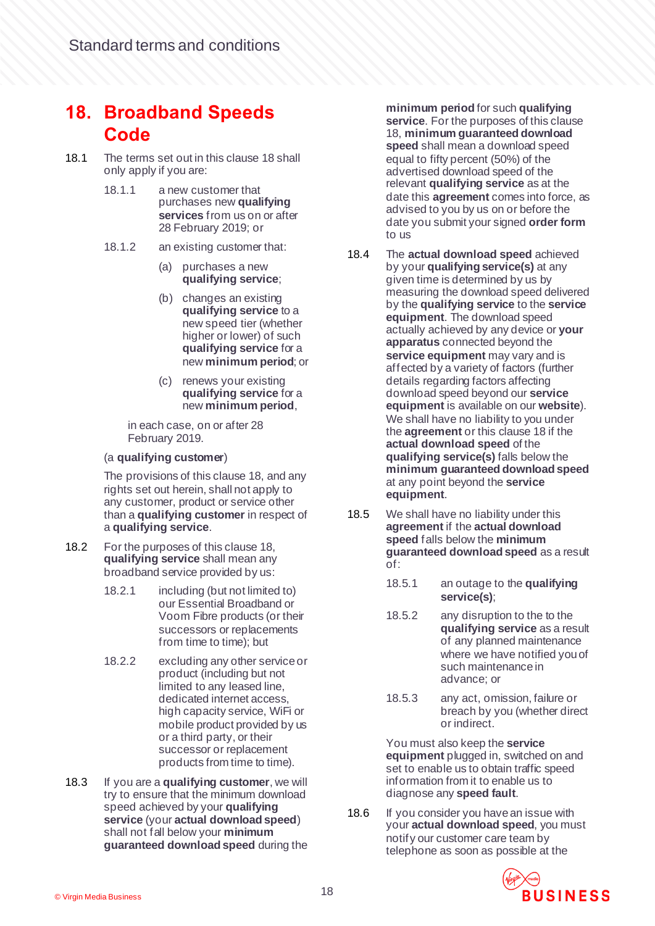#### <span id="page-17-4"></span>**18. Broadband Speeds Code**

- <span id="page-17-1"></span>18.1 The terms set out in this claus[e 18](#page-17-4) shall only apply if you are:
	- 18.1.1 a new customer that purchases new **qualifying services** from us on or after 28 February 2019; or
	- 18.1.2 an existing customer that:
		- (a) purchases a new **qualifying service**;
		- (b) changes an existing **qualifying service** to a new speed tier (whether higher or lower) of such **qualifying service** for a new **minimum period**; or
		- (c) renews your existing **qualifying service** for a new **minimum period**,

in each case, on or after 28 February 2019.

#### (a **qualifying customer**)

The provisions of this claus[e 18](#page-17-4), and any rights set out herein, shall not apply to any customer, product or service other than a **qualifying customer** in respect of a **qualifying service**.

- <span id="page-17-2"></span>18.2 For the purposes of this claus[e 18,](#page-17-4) **qualifying service** shall mean any broadband service provided by us:
	- 18.2.1 including (but not limited to) our Essential Broadband or Voom Fibre products (or their successors or replacements from time to time); but
	- 18.2.2 excluding any other service or product (including but not limited to any leased line, dedicated internet access, high capacity service, WiFi or mobile product provided by us or a third party, or their successor or replacement products from time to time).
- <span id="page-17-0"></span>18.3 If you are a **qualifying customer**, we will try to ensure that the minimum download speed achieved by your **qualifying service** (your **actual download speed**) shall not fall below your **minimum guaranteed download speed** during the

**minimum period** for such **qualifying service**. For the purposes of this clause [18,](#page-17-4) **minimum guaranteed download speed** shall mean a download speed equal to fifty percent (50%) of the advertised download speed of the relevant **qualifying service** as at the date this **agreement** comes into force, as advised to you by us on or before the date you submit your signed **order form** to us

- 18.4 The **actual download speed** achieved by your **qualifying service(s)** at any given time is determined by us by measuring the download speed delivered by the **qualifying service** to the **service equipment**. The download speed actually achieved by any device or **your apparatus** connected beyond the **service equipment** may vary and is affected by a variety of factors (further details regarding factors affecting download speed beyond our **service equipment** is available on our **website**). We shall have no liability to you under the **agreement** or this claus[e 18](#page-17-4) if the **actual download speed** of the **qualifying service(s)** falls below the **minimum guaranteed download speed** at any point beyond the **service equipment**.
- 18.5 We shall have no liability under this **agreement** if the **actual download speed** falls below the **minimum guaranteed download speed** as a result of:
	- 18.5.1 an outage to the **qualifying service(s)**;
	- 18.5.2 any disruption to the to the **qualifying service** as a result of any planned maintenance where we have notified you of such maintenance in advance; or
	- 18.5.3 any act, omission, failure or breach by you (whether direct or indirect.

You must also keep the **service equipment** plugged in, switched on and set to enable us to obtain traffic speed information from it to enable us to diagnose any **speed fault**.

<span id="page-17-3"></span>18.6 If you consider you have an issue with your **actual download speed**, you must notify our customer care team by telephone as soon as possible at the

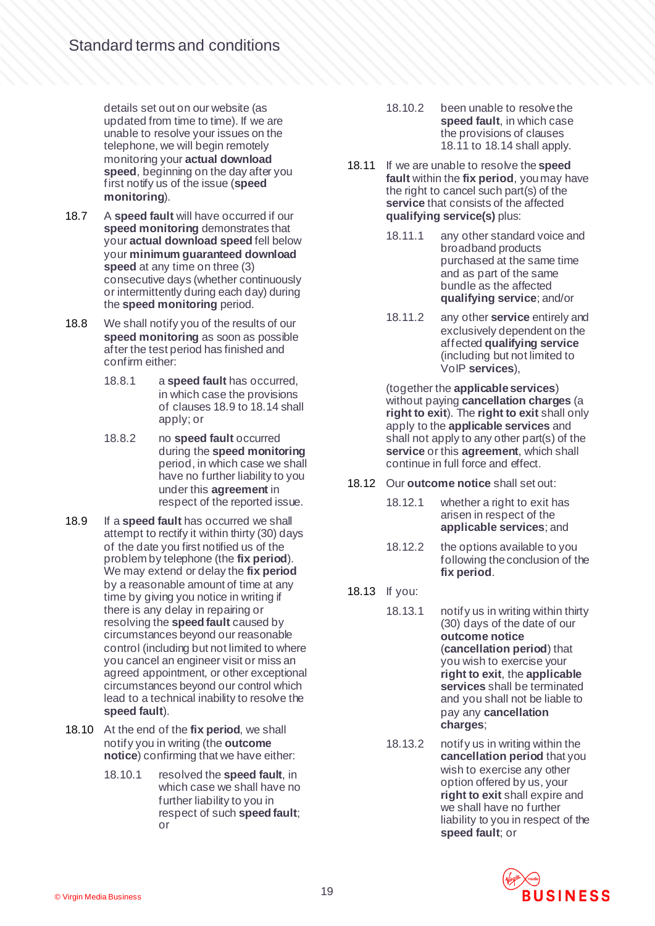details set out on our website (as updated from time to time). If we are unable to resolve your issues on the telephone, we will begin remotely monitoring your **actual download speed**, beginning on the day after you first notify us of the issue (**speed monitoring**).

- <span id="page-18-4"></span>18.7 A **speed fault** will have occurred if our **speed monitoring** demonstrates that your **actual download speed** fell below your **minimum guaranteed download speed** at any time on three (3) consecutive days (whether continuously or intermittently during each day) during the **speed monitoring** period.
- 18.8 We shall notify you of the results of our **speed monitoring** as soon as possible after the test period has finished and confirm either:
	- 18.8.1 a **speed fault** has occurred, in which case the provisions of clause[s 18.9](#page-18-2) t[o 18.14](#page-19-3) shall apply; or
	- 18.8.2 no **speed fault** occurred during the **speed monitoring** period, in which case we shall have no further liability to you under this **agreement** in respect of the reported issue.
- <span id="page-18-2"></span>18.9 If a **speed fault** has occurred we shall attempt to rectify it within thirty (30) days of the date you first notified us of the problem by telephone (the **fix period**). We may extend or delay the **fix period** by a reasonable amount of time at any time by giving you notice in writing if there is any delay in repairing or resolving the **speed fault** caused by circumstances beyond our reasonable control (including but not limited to where you cancel an engineer visit or miss an agreed appointment, or other exceptional circumstances beyond our control which lead to a technical inability to resolve the **speed fault**).
- <span id="page-18-3"></span>18.10 At the end of the **fix period**, we shall notify you in writing (the **outcome notice**) confirming that we have either:
	- 18.10.1 resolved the **speed fault**, in which case we shall have no further liability to you in respect of such **speed fault**; or
- 18.10.2 been unable to resolve the **speed fault**, in which case the provisions of clauses [18.11](#page-18-0) t[o 18.14](#page-19-3) shall apply.
- <span id="page-18-0"></span>18.11 If we are unable to resolve the **speed fault** within the **fix period**, you may have the right to cancel such part(s) of the **service** that consists of the affected **qualifying service(s)** plus:
	- 18.11.1 any other standard voice and broadband products purchased at the same time and as part of the same bundle as the affected **qualifying service**; and/or
	- 18.11.2 any other **service** entirely and exclusively dependent on the affected **qualifying service** (including but not limited to VoIP **services**),

(together the **applicable services**) without paying **cancellation charges** (a **right to exit**). The **right to exit** shall only apply to the **applicable services** and shall not apply to any other part(s) of the **service** or this **agreement**, which shall continue in full force and effect.

- 18.12 Our **outcome notice** shall set out:
	- 18.12.1 whether a right to exit has arisen in respect of the **applicable services**; and
	- 18.12.2 the options available to you following the conclusion of the **fix period**.
- <span id="page-18-6"></span><span id="page-18-5"></span><span id="page-18-1"></span>18.13 If you:
	- 18.13.1 notify us in writing within thirty (30) days of the date of our **outcome notice** (**cancellation period**) that you wish to exercise your **right to exit**, the **applicable services** shall be terminated and you shall not be liable to pay any **cancellation charges**;
	- 18.13.2 notify us in writing within the **cancellation period** that you wish to exercise any other option offered by us, your **right to exit** shall expire and we shall have no further liability to you in respect of the **speed fault**; or

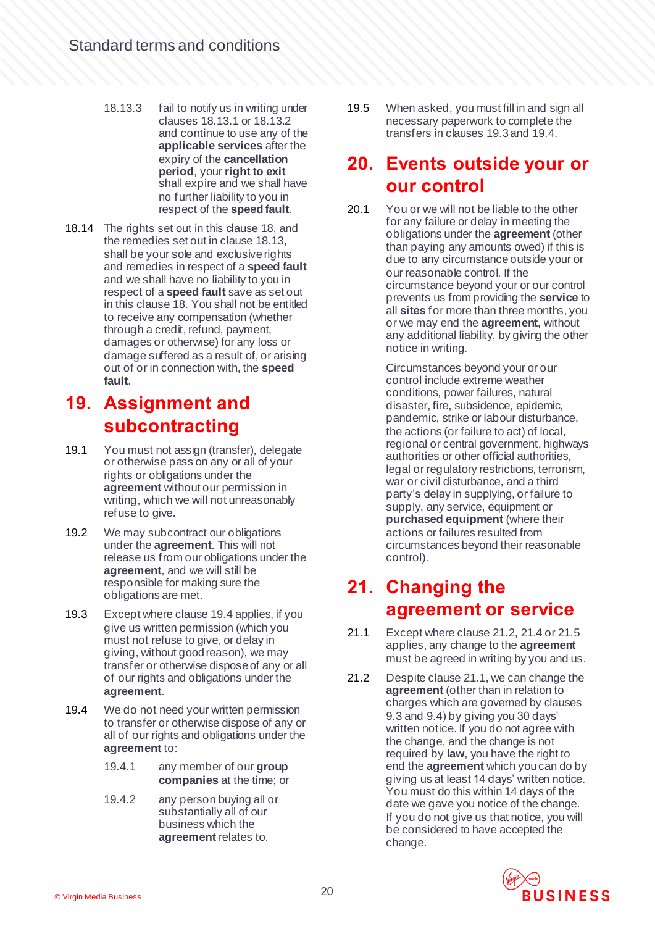- 18.13.3 fail to notify us in writing under clause[s 18.13.1](#page-18-1) o[r 18.13.2](#page-18-5) and continue to use any of the **applicable services** after the expiry of the **cancellation period**, your **right to exit** shall expire and we shall have no further liability to you in respect of the **speed fault**.
- <span id="page-19-3"></span>18.14 The rights set out in this claus[e 18,](#page-17-4) and the remedies set out in claus[e 18.13,](#page-18-6) shall be your sole and exclusive rights and remedies in respect of a **speed fault** and we shall have no liability to you in respect of a **speed fault** save as set out in this claus[e 18.](#page-17-4) You shall not be entitled to receive any compensation (whether through a credit, refund, payment, damages or otherwise) for any loss or damage suffered as a result of, or arising out of or in connection with, the **speed fault**.

#### **19. Assignment and subcontracting**

- 19.1 You must not assign (transfer), delegate or otherwise pass on any or all of your rights or obligations under the **agreement** without our permission in writing, which we will not unreasonably refuse to give.
- 19.2 We may subcontract our obligations under the **agreement**. This will not release us from our obligations under the **agreement**, and we will still be responsible for making sure the obligations are met.
- <span id="page-19-5"></span>19.3 Except where claus[e 19.4](#page-19-4) applies, if you give us written permission (which you must not refuse to give, or delay in giving, without good reason), we may transfer or otherwise dispose of any or all of our rights and obligations under the **agreement**.
- <span id="page-19-4"></span>19.4 We do not need your written permission to transfer or otherwise dispose of any or all of our rights and obligations under the **agreement** to:
	- 19.4.1 any member of our **group companies** at the time; or
	- 19.4.2 any person buying all or substantially all of our business which the **agreement** relates to.

19.5 When asked, you must fill in and sign all necessary paperwork to complete the transfers in clause[s 19.3](#page-19-5) an[d 19.4](#page-19-4).

#### <span id="page-19-0"></span>**20. Events outside your or our control**

20.1 You or we will not be liable to the other for any failure or delay in meeting the obligations under the **agreement** (other than paying any amounts owed) if this is due to any circumstance outside your or our reasonable control. If the circumstance beyond your or our control prevents us from providing the **service** to all **sites** for more than three months, you or we may end the **agreement**, without any additional liability, by giving the other notice in writing.

> Circumstances beyond your or our control include extreme weather conditions, power failures, natural disaster, fire, subsidence, epidemic, pandemic, strike or labour disturbance, the actions (or failure to act) of local, regional or central government, highways authorities or other official authorities, legal or regulatory restrictions, terrorism, war or civil disturbance, and a third party's delay in supplying, or failure to supply, any service, equipment or **purchased equipment** (where their actions or failures resulted from circumstances beyond their reasonable control).

#### **21. Changing the agreement or service**

- <span id="page-19-1"></span>21.1 Except where claus[e 21.2](#page-19-2)[, 21.4](#page-20-1) o[r 21.5](#page-20-2) applies, any change to the **agreement**  must be agreed in writing by you and us.
- <span id="page-19-2"></span>21.2 Despite claus[e 21.1](#page-19-1), we can change the **agreement** (other than in relation to charges which are governed by clauses [9.3](#page-8-0) and [9.4\)](#page-8-1) by giving you 30 days' written notice. If you do not agree with the change, and the change is not required by **law**, you have the right to end the **agreement** which you can do by giving us at least 14 days' written notice. You must do this within 14 days of the date we gave you notice of the change. If you do not give us that notice, you will be considered to have accepted the change.

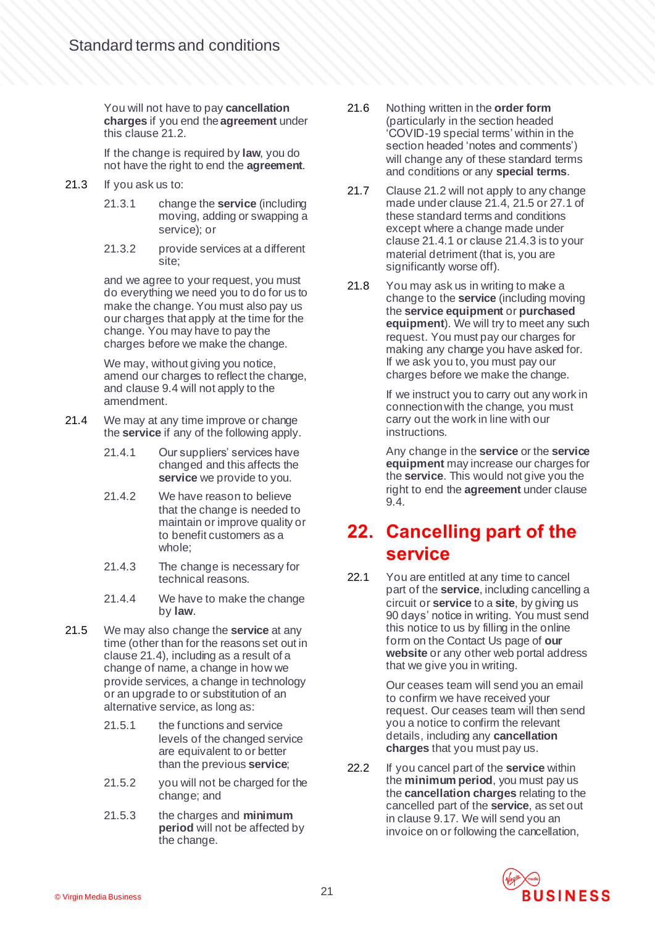You will not have to pay **cancellation charges** if you end the **agreement** under this claus[e 21.2.](#page-19-2)

If the change is required by **law**, you do not have the right to end the **agreement**.

- 21.3 If you ask us to:
	- 21.3.1 change the **service** (including moving, adding or swapping a service); or
	- 21.3.2 provide services at a different site;

and we agree to your request, you must do everything we need you to do for us to make the change. You must also pay us our charges that apply at the time for the change. You may have to pay the charges before we make the change.

We may, without giving you notice, amend our charges to reflect the change, and claus[e 9.4](#page-8-1) will not apply to the amendment.

- <span id="page-20-3"></span><span id="page-20-1"></span>21.4 We may at any time improve or change the **service** if any of the following apply.
	- 21.4.1 Our suppliers' services have changed and this affects the **service** we provide to you.
	- 21.4.2 We have reason to believe that the change is needed to maintain or improve quality or to benefit customers as a whole;
	- 21.4.3 The change is necessary for technical reasons.
	- 21.4.4 We have to make the change by **law**.
- <span id="page-20-4"></span><span id="page-20-2"></span>21.5 We may also change the **service** at any time (other than for the reasons set out in claus[e 21.4\)](#page-20-1), including as a result of a change of name, a change in how we provide services, a change in technology or an upgrade to or substitution of an alternative service, as long as:
	- 21.5.1 the functions and service levels of the changed service are equivalent to or better than the previous **service**;
	- 21.5.2 you will not be charged for the change; and
	- 21.5.3 the charges and **minimum period** will not be affected by the change.
- 21.6 Nothing written in the **order form** (particularly in the section headed 'COVID-19 special terms' within in the section headed 'notes and comments') will change any of these standard terms and conditions or any **special terms**.
- 21.7 Claus[e 21.2](#page-19-2) will not apply to any change made under claus[e 21.4](#page-20-1)[, 21.5](#page-20-2) o[r 27.1](#page-25-0) of these standard terms and conditions except where a change made under claus[e 21.4.1](#page-20-3) or claus[e 21.4.3](#page-20-4) is to your material detriment (that is, you are significantly worse off).
- 21.8 You may ask us in writing to make a change to the **service** (including moving the **service equipment** or **purchased equipment**). We will try to meet any such request. You must pay our charges for making any change you have asked for. If we ask you to, you must pay our charges before we make the change.

If we instruct you to carry out any work in connection with the change, you must carry out the work in line with our instructions.

Any change in the **service** or the **service equipment** may increase our charges for the **service**. This would not give you the right to end the **agreement** under clause [9.4.](#page-8-1)

## **22. Cancelling part of the service**

22.1 You are entitled at any time to cancel part of the **service**, including cancelling a circuit or **service** to a **site**, by giving us 90 days' notice in writing. You must send this notice to us by filling in the online form on the Contact Us page of **our website** or any other web portal address that we give you in writing.

> Our ceases team will send you an email to confirm we have received your request. Our ceases team will then send you a notice to confirm the relevant details, including any **cancellation charges** that you must pay us.

<span id="page-20-0"></span>22.2 If you cancel part of the **service** within the **minimum period**, you must pay us the **cancellation charges** relating to the cancelled part of the **service**, as set out in clause [9.17.](#page-9-0) We will send you an invoice on or following the cancellation,

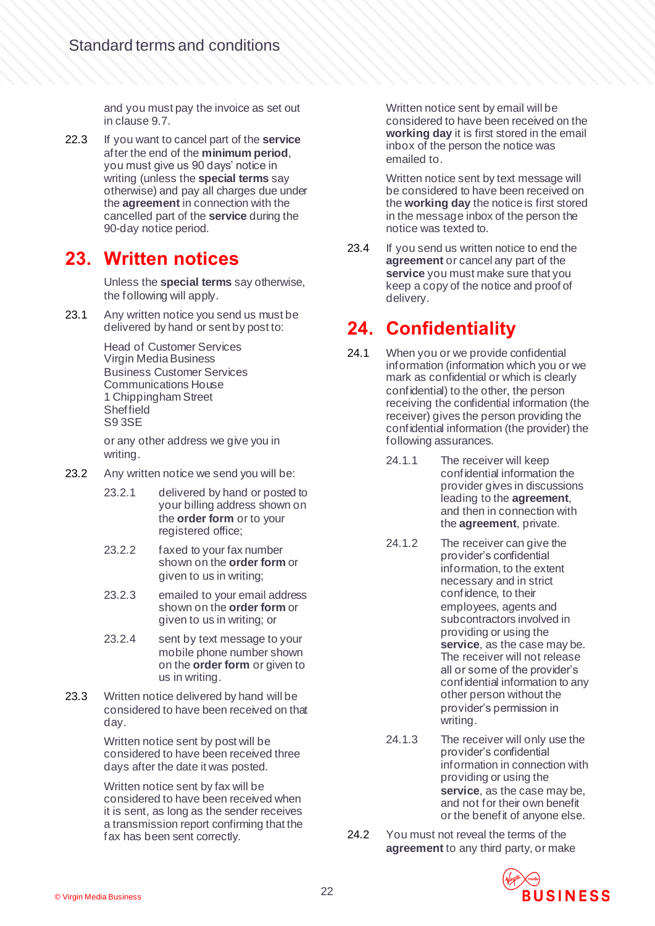and you must pay the invoice as set out in clause [9.7.](#page-8-2)

22.3 If you want to cancel part of the **service** after the end of the **minimum period**, you must give us 90 days' notice in writing (unless the **special terms** say otherwise) and pay all charges due under the **agreement** in connection with the cancelled part of the **service** during the 90-day notice period.

#### **23. Written notices**

Unless the **special terms** say otherwise, the following will apply.

<span id="page-21-1"></span>23.1 Any written notice you send us must be delivered by hand or sent by post to:

> Head of Customer Services Virgin Media Business Business Customer Services Communications House 1 Chippingham Street **Sheffield** S9 3SE

or any other address we give you in writing.

- 23.2 Any written notice we send you will be:
	- 23.2.1 delivered by hand or posted to your billing address shown on the **order form** or to your registered office;
	- 23.2.2 faxed to your fax number shown on the **order form** or given to us in writing;
	- 23.2.3 emailed to your email address shown on the **order form** or given to us in writing; or
	- 23.2.4 sent by text message to your mobile phone number shown on the **order form** or given to us in writing.
- 23.3 Written notice delivered by hand will be considered to have been received on that day.

Written notice sent by post will be considered to have been received three days after the date it was posted.

Written notice sent by fax will be considered to have been received when it is sent, as long as the sender receives a transmission report confirming that the fax has been sent correctly.

Written notice sent by email will be considered to have been received on the **working day** it is first stored in the email inbox of the person the notice was emailed to.

Written notice sent by text message will be considered to have been received on the **working day** the notice is first stored in the message inbox of the person the notice was texted to.

23.4 If you send us written notice to end the **agreement** or cancel any part of the **service** you must make sure that you keep a copy of the notice and proof of delivery.

# <span id="page-21-0"></span>**24. Confidentiality**

- <span id="page-21-2"></span>24.1 When you or we provide confidential information (information which you or we mark as confidential or which is clearly confidential) to the other, the person receiving the confidential information (the receiver) gives the person providing the confidential information (the provider) the following assurances.
	- 24.1.1 The receiver will keep confidential information the provider gives in discussions leading to the **agreement**, and then in connection with the **agreement**, private.
	- 24.1.2 The receiver can give the provider's confidential information, to the extent necessary and in strict confidence, to their employees, agents and subcontractors involved in providing or using the **service**, as the case may be. The receiver will not release all or some of the provider's confidential information to any other person without the provider's permission in writing.
	- 24.1.3 The receiver will only use the provider's confidential information in connection with providing or using the **service**, as the case may be, and not for their own benefit or the benefit of anyone else.
- <span id="page-21-3"></span>24.2 You must not reveal the terms of the **agreement** to any third party, or make

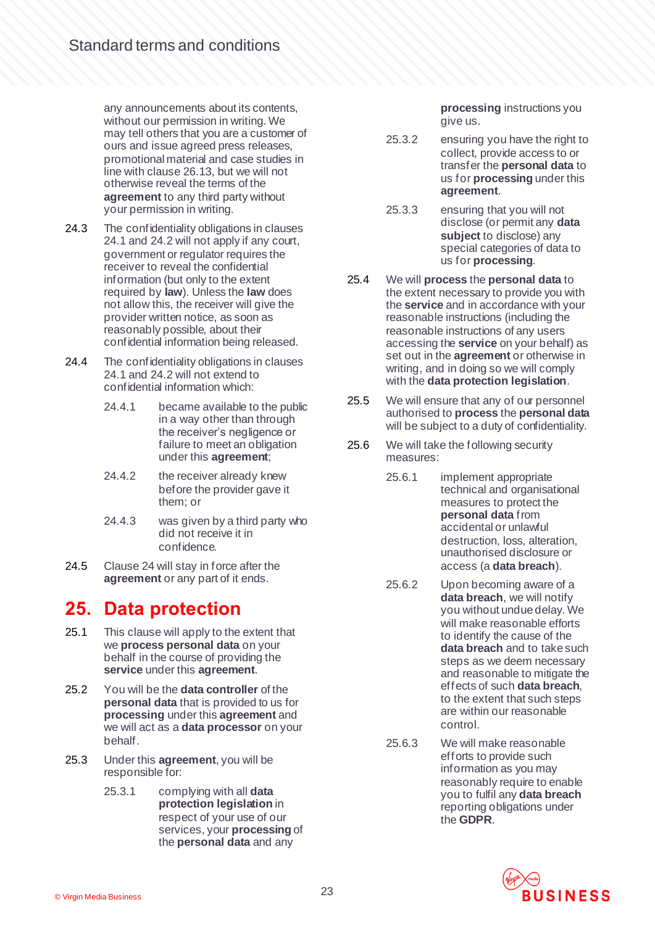any announcements about its contents, without our permission in writing. We may tell others that you are a customer of ours and issue agreed press releases, promotional material and case studies in line with claus[e 26.13,](#page-25-1) but we will not otherwise reveal the terms of the **agreement** to any third party without your permission in writing.

- 24.3 The confidentiality obligations in clauses [24.1](#page-21-2) and [24.2](#page-21-3) will not apply if any court, government or regulator requires the receiver to reveal the confidential information (but only to the extent required by **law**). Unless the **law** does not allow this, the receiver will give the provider written notice, as soon as reasonably possible, about their confidential information being released.
- 24.4 The confidentiality obligations in clauses [24.1](#page-21-2) and [24.2](#page-21-3) will not extend to confidential information which:
	- 24.4.1 became available to the public in a way other than through the receiver's negligence or failure to meet an obligation under this **agreement**;
	- 24.4.2 the receiver already knew before the provider gave it them; or
	- 24.4.3 was given by a third party who did not receive it in confidence.
- 24.5 Clause [24](#page-21-0) will stay in force after the **agreement** or any part of it ends.

## <span id="page-22-0"></span>**25. Data protection**

- 25.1 This clause will apply to the extent that we **process personal data** on your behalf in the course of providing the **service** under this **agreement**.
- 25.2 You will be the **data controller** of the **personal data** that is provided to us for **processing** under this **agreement** and we will act as a **data processor** on your behalf.
- 25.3 Under this **agreement**, you will be responsible for:
	- 25.3.1 complying with all **data protection legislation** in respect of your use of our services, your **processing** of the **personal data** and any

**processing** instructions you give us.

- 25.3.2 ensuring you have the right to collect, provide access to or transfer the **personal data** to us for **processing** under this **agreement**.
- 25.3.3 ensuring that you will not disclose (or permit any **data subject** to disclose) any special categories of data to us for **processing**.
- 25.4 We will **process** the **personal data** to the extent necessary to provide you with the **service** and in accordance with your reasonable instructions (including the reasonable instructions of any users accessing the **service** on your behalf) as set out in the **agreement** or otherwise in writing, and in doing so we will comply with the **data protection legislation**.
- 25.5 We will ensure that any of our personnel authorised to **process** the **personal data** will be subject to a duty of confidentiality.
- 25.6 We will take the following security measures:
	- 25.6.1 implement appropriate technical and organisational measures to protect the **personal data** from accidental or unlawful destruction, loss, alteration. unauthorised disclosure or access (a **data breach**).
	- 25.6.2 Upon becoming aware of a **data breach**, we will notify you without undue delay. We will make reasonable efforts to identify the cause of the **data breach** and to take such steps as we deem necessary and reasonable to mitigate the effects of such **data breach**, to the extent that such steps are within our reasonable control.
	- 25.6.3 We will make reasonable efforts to provide such information as you may reasonably require to enable you to fulfil any **data breach** reporting obligations under the **GDPR**.

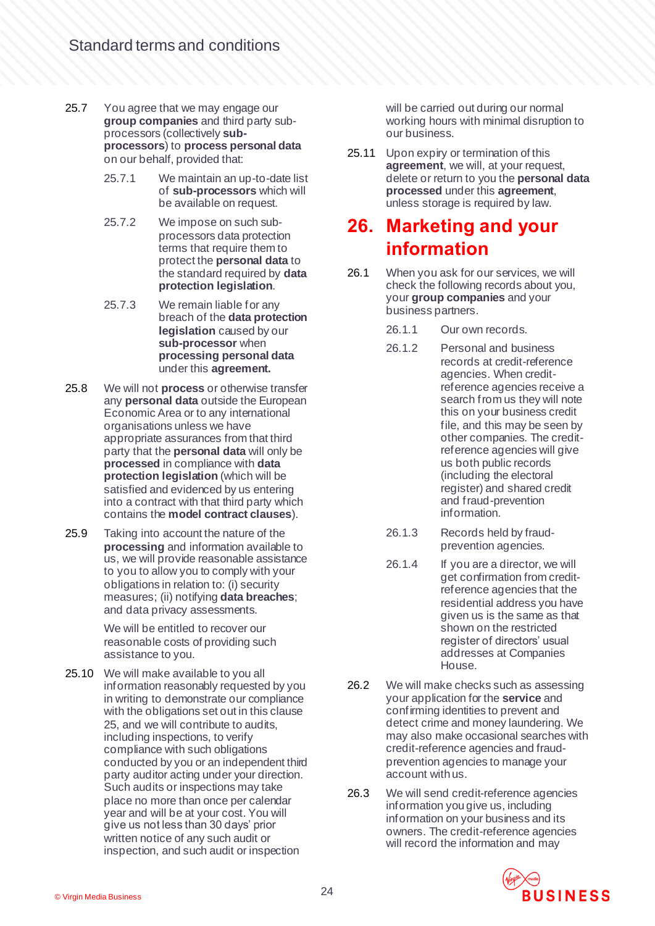- 25.7 You agree that we may engage our **group companies** and third party subprocessors (collectively **subprocessors**) to **process personal data** on our behalf, provided that:
	- 25.7.1 We maintain an up-to-date list of **sub-processors** which will be available on request.
	- 25.7.2 We impose on such subprocessors data protection terms that require them to protect the **personal data** to the standard required by **data protection legislation**.
	- 25.7.3 We remain liable for any breach of the **data protection legislation** caused by our **sub-processor** when **processing personal data** under this **agreement.**
- 25.8 We will not **process** or otherwise transfer any **personal data** outside the European Economic Area or to any international organisations unless we have appropriate assurances from that third party that the **personal data** will only be **processed** in compliance with **data protection legislation** (which will be satisfied and evidenced by us entering into a contract with that third party which contains the **model contract clauses**).
- 25.9 Taking into account the nature of the **processing** and information available to us, we will provide reasonable assistance to you to allow you to comply with your obligations in relation to: (i) security measures; (ii) notifying **data breaches**; and data privacy assessments.

We will be entitled to recover our reasonable costs of providing such assistance to you.

25.10 We will make available to you all information reasonably requested by you in writing to demonstrate our compliance with the obligations set out in this clause [25,](#page-22-0) and we will contribute to audits, including inspections, to verify compliance with such obligations conducted by you or an independent third party auditor acting under your direction. Such audits or inspections may take place no more than once per calendar year and will be at your cost. You will give us not less than 30 days' prior written notice of any such audit or inspection, and such audit or inspection

will be carried out during our normal working hours with minimal disruption to our business.

25.11 Upon expiry or termination of this **agreement**, we will, at your request, delete or return to you the **personal data processed** under this **agreement**, unless storage is required by law.

#### <span id="page-23-0"></span>**26. Marketing and your information**

- 26.1 When you ask for our services, we will check the following records about you, your **group companies** and your business partners.
	- 26.1.1 Our own records.
	- 26.1.2 Personal and business records at credit-reference agencies. When creditreference agencies receive a search from us they will note this on your business credit file, and this may be seen by other companies. The creditreference agencies will give us both public records (including the electoral register) and shared credit and fraud-prevention information.
	- 26.1.3 Records held by fraudprevention agencies.
	- 26.1.4 If you are a director, we will get confirmation from creditreference agencies that the residential address you have given us is the same as that shown on the restricted register of directors' usual addresses at Companies House.
- 26.2 We will make checks such as assessing your application for the **service** and confirming identities to prevent and detect crime and money laundering. We may also make occasional searches with credit-reference agencies and fraudprevention agencies to manage your account with us.
- 26.3 We will send credit-reference agencies information you give us, including information on your business and its owners. The credit-reference agencies will record the information and may

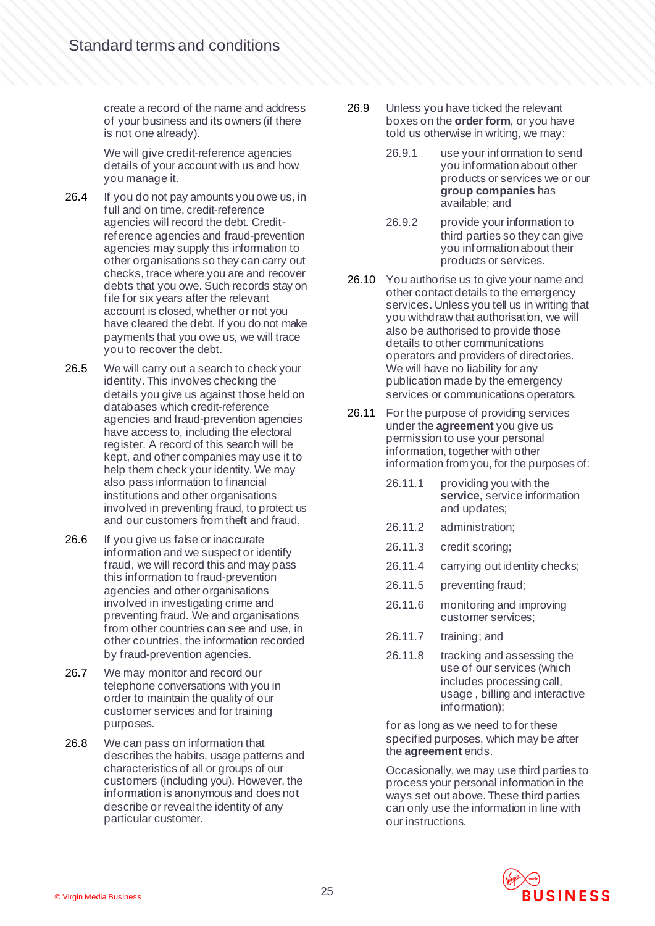create a record of the name and address of your business and its owners (if there is not one already).

We will give credit-reference agencies details of your account with us and how you manage it.

- 26.4 If you do not pay amounts you owe us, in full and on time, credit-reference agencies will record the debt. Creditreference agencies and fraud-prevention agencies may supply this information to other organisations so they can carry out checks, trace where you are and recover debts that you owe. Such records stay on file for six years after the relevant account is closed, whether or not you have cleared the debt. If you do not make payments that you owe us, we will trace you to recover the debt.
- <span id="page-24-0"></span>26.5 We will carry out a search to check your identity. This involves checking the details you give us against those held on databases which credit-reference agencies and fraud-prevention agencies have access to, including the electoral register. A record of this search will be kept, and other companies may use it to help them check your identity. We may also pass information to financial institutions and other organisations involved in preventing fraud, to protect us and our customers from theft and fraud.
- 26.6 If you give us false or inaccurate information and we suspect or identify fraud, we will record this and may pass this information to fraud-prevention agencies and other organisations involved in investigating crime and preventing fraud. We and organisations from other countries can see and use, in other countries, the information recorded by fraud-prevention agencies.
- 26.7 We may monitor and record our telephone conversations with you in order to maintain the quality of our customer services and for training purposes.
- 26.8 We can pass on information that describes the habits, usage patterns and characteristics of all or groups of our customers (including you). However, the information is anonymous and does not describe or reveal the identity of any particular customer.
- 26.9 Unless you have ticked the relevant boxes on the **order form**, or you have told us otherwise in writing, we may:
	- 26.9.1 use your information to send you information about other products or services we or our **group companies** has available; and
	- 26.9.2 provide your information to third parties so they can give you information about their products or services.
- 26.10 You authorise us to give your name and other contact details to the emergency services. Unless you tell us in writing that you withdraw that authorisation, we will also be authorised to provide those details to other communications operators and providers of directories. We will have no liability for any publication made by the emergency services or communications operators.
- 26.11 For the purpose of providing services under the **agreement** you give us permission to use your personal information, together with other information from you, for the purposes of:
	- 26.11.1 providing you with the **service**, service information and updates;
	- 26.11.2 administration;
	- 26.11.3 credit scoring;
	- 26.11.4 carrying out identity checks;
	- 26.11.5 preventing fraud;
	- 26.11.6 monitoring and improving customer services;
	- 26.11.7 training; and
	- 26.11.8 tracking and assessing the use of our services (which includes processing call, usage , billing and interactive information);

for as long as we need to for these specified purposes, which may be after the **agreement** ends.

Occasionally, we may use third parties to process your personal information in the ways set out above. These third parties can only use the information in line with our instructions.

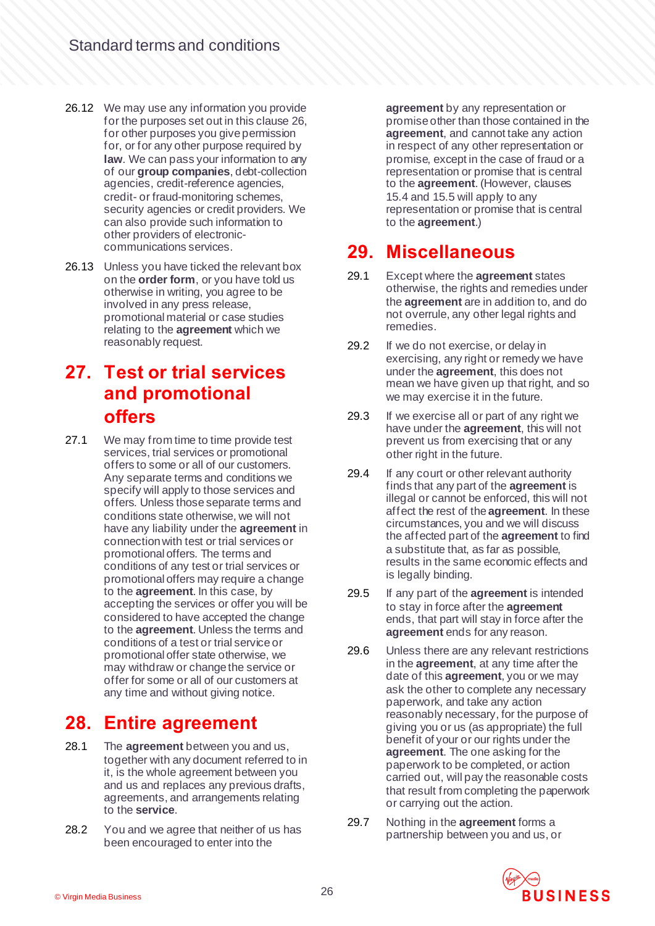- 26.12 We may use any information you provide for the purposes set out in this claus[e 26,](#page-23-0) for other purposes you give permission for, or for any other purpose required by **law**. We can pass your information to any of our **group companies**, debt-collection agencies, credit-reference agencies, credit- or fraud-monitoring schemes, security agencies or credit providers. We can also provide such information to other providers of electroniccommunications services.
- <span id="page-25-1"></span>26.13 Unless you have ticked the relevant box on the **order form**, or you have told us otherwise in writing, you agree to be involved in any press release, promotional material or case studies relating to the **agreement** which we reasonably request.

## **27. Test or trial services and promotional offers**

<span id="page-25-0"></span>27.1 We may from time to time provide test services, trial services or promotional offers to some or all of our customers. Any separate terms and conditions we specify will apply to those services and offers. Unless those separate terms and conditions state otherwise, we will not have any liability under the **agreement** in connection with test or trial services or promotional offers. The terms and conditions of any test or trial services or promotional offers may require a change to the **agreement**. In this case, by accepting the services or offer you will be considered to have accepted the change to the **agreement**. Unless the terms and conditions of a test or trial service or promotional offer state otherwise, we may withdraw or change the service or offer for some or all of our customers at any time and without giving notice.

#### **28. Entire agreement**

- 28.1 The **agreement** between you and us, together with any document referred to in it, is the whole agreement between you and us and replaces any previous drafts, agreements, and arrangements relating to the **service**.
- 28.2 You and we agree that neither of us has been encouraged to enter into the

**agreement** by any representation or promise other than those contained in the **agreement**, and cannot take any action in respect of any other representation or promise, except in the case of fraud or a representation or promise that is central to the **agreement**. (However, clauses [15.4](#page-14-0) an[d 15.5](#page-14-1) will apply to any representation or promise that is central to the **agreement**.)

#### **29. Miscellaneous**

- 29.1 Except where the **agreement** states otherwise, the rights and remedies under the **agreement** are in addition to, and do not overrule, any other legal rights and remedies.
- 29.2 If we do not exercise, or delay in exercising, any right or remedy we have under the **agreement**, this does not mean we have given up that right, and so we may exercise it in the future.
- 29.3 If we exercise all or part of any right we have under the **agreement**, this will not prevent us from exercising that or any other right in the future.
- 29.4 If any court or other relevant authority finds that any part of the **agreement** is illegal or cannot be enforced, this will not affect the rest of the **agreement**. In these circumstances, you and we will discuss the affected part of the **agreement** to find a substitute that, as far as possible, results in the same economic effects and is legally binding.
- 29.5 If any part of the **agreement** is intended to stay in force after the **agreement**  ends, that part will stay in force after the **agreement** ends for any reason.
- 29.6 Unless there are any relevant restrictions in the **agreement**, at any time after the date of this **agreement**, you or we may ask the other to complete any necessary paperwork, and take any action reasonably necessary, for the purpose of giving you or us (as appropriate) the full benefit of your or our rights under the **agreement**. The one asking for the paperwork to be completed, or action carried out, will pay the reasonable costs that result from completing the paperwork or carrying out the action.
- 29.7 Nothing in the **agreement** forms a partnership between you and us, or

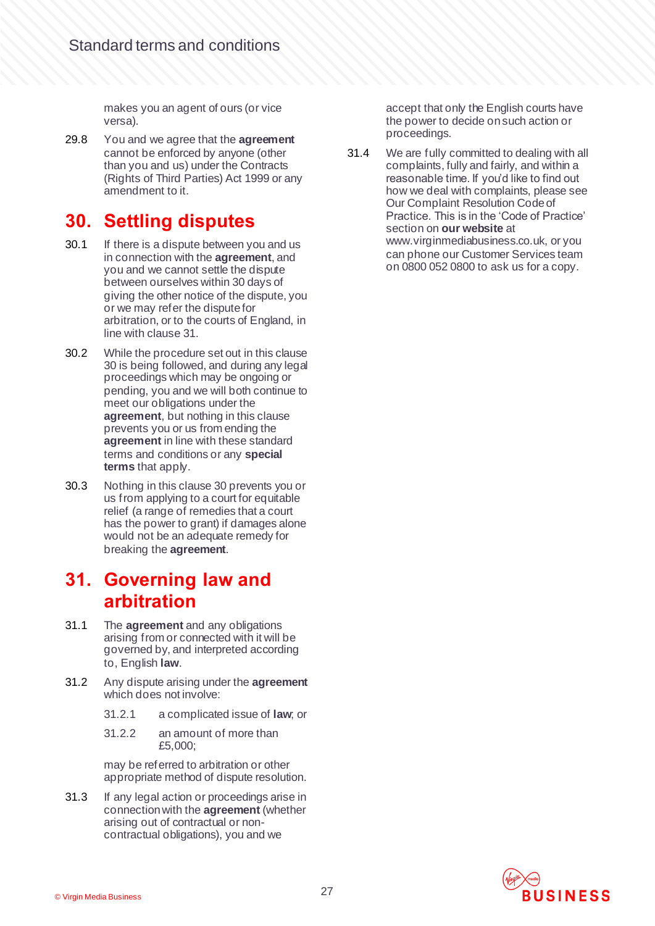makes you an agent of ours (or vice versa).

29.8 You and we agree that the **agreement** cannot be enforced by anyone (other than you and us) under the Contracts (Rights of Third Parties) Act 1999 or any amendment to it.

# <span id="page-26-1"></span>**30. Settling disputes**

- 30.1 If there is a dispute between you and us in connection with the **agreement**, and you and we cannot settle the dispute between ourselves within 30 days of giving the other notice of the dispute, you or we may refer the dispute for arbitration, or to the courts of England, in line with claus[e 31.](#page-26-0)
- 30.2 While the procedure set out in this clause [30](#page-26-1) is being followed, and during any legal proceedings which may be ongoing or pending, you and we will both continue to meet our obligations under the **agreement**, but nothing in this clause prevents you or us from ending the **agreement** in line with these standard terms and conditions or any **special terms** that apply.
- 30.3 Nothing in this claus[e 30](#page-26-1) prevents you or us from applying to a court for equitable relief (a range of remedies that a court has the power to grant) if damages alone would not be an adequate remedy for breaking the **agreement**.

#### <span id="page-26-0"></span>**31. Governing law and arbitration**

- 31.1 The **agreement** and any obligations arising from or connected with it will be governed by, and interpreted according to, English **law**.
- 31.2 Any dispute arising under the **agreement** which does not involve:
	- 31.2.1 a complicated issue of **law**; or
	- 31.2.2 an amount of more than £5,000;

may be referred to arbitration or other appropriate method of dispute resolution.

31.3 If any legal action or proceedings arise in connection with the **agreement** (whether arising out of contractual or noncontractual obligations), you and we

accept that only the English courts have the power to decide on such action or proceedings.

31.4 We are fully committed to dealing with all complaints, fully and fairly, and within a reasonable time. If you'd like to find out how we deal with complaints, please see Our Complaint Resolution Code of Practice. This is in the 'Code of Practice' section on **our website** at www.virginmediabusiness.co.uk, or you can phone our Customer Services team on 0800 052 0800 to ask us for a copy.